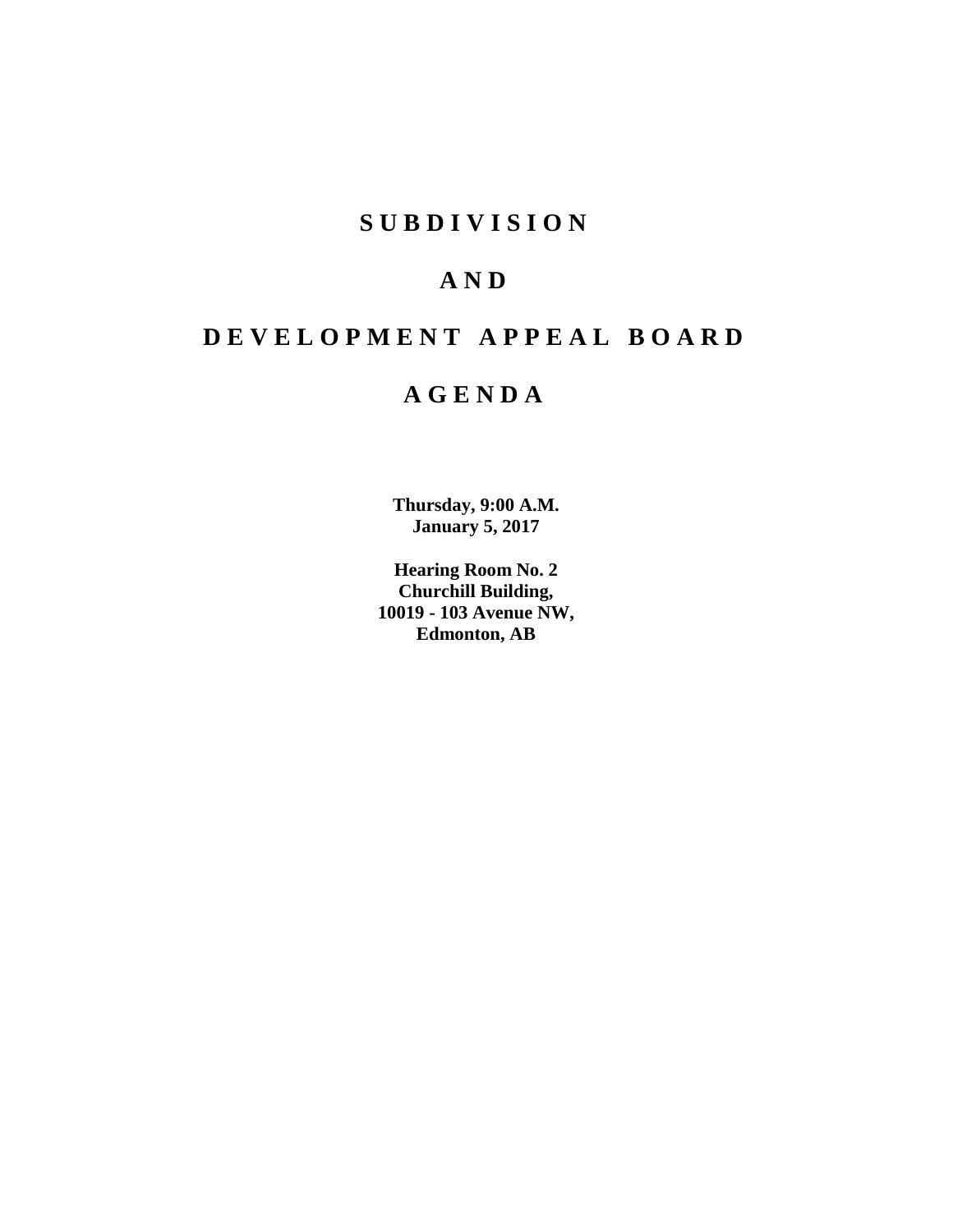# **SUBDIVISION**

# **AND**

# **DEVELOPMENT APPEAL BOARD**

# **AGENDA**

**Thursday, 9:00 A.M. January 5, 2017**

**Hearing Room No. 2 Churchill Building, 10019 - 103 Avenue NW, Edmonton, AB**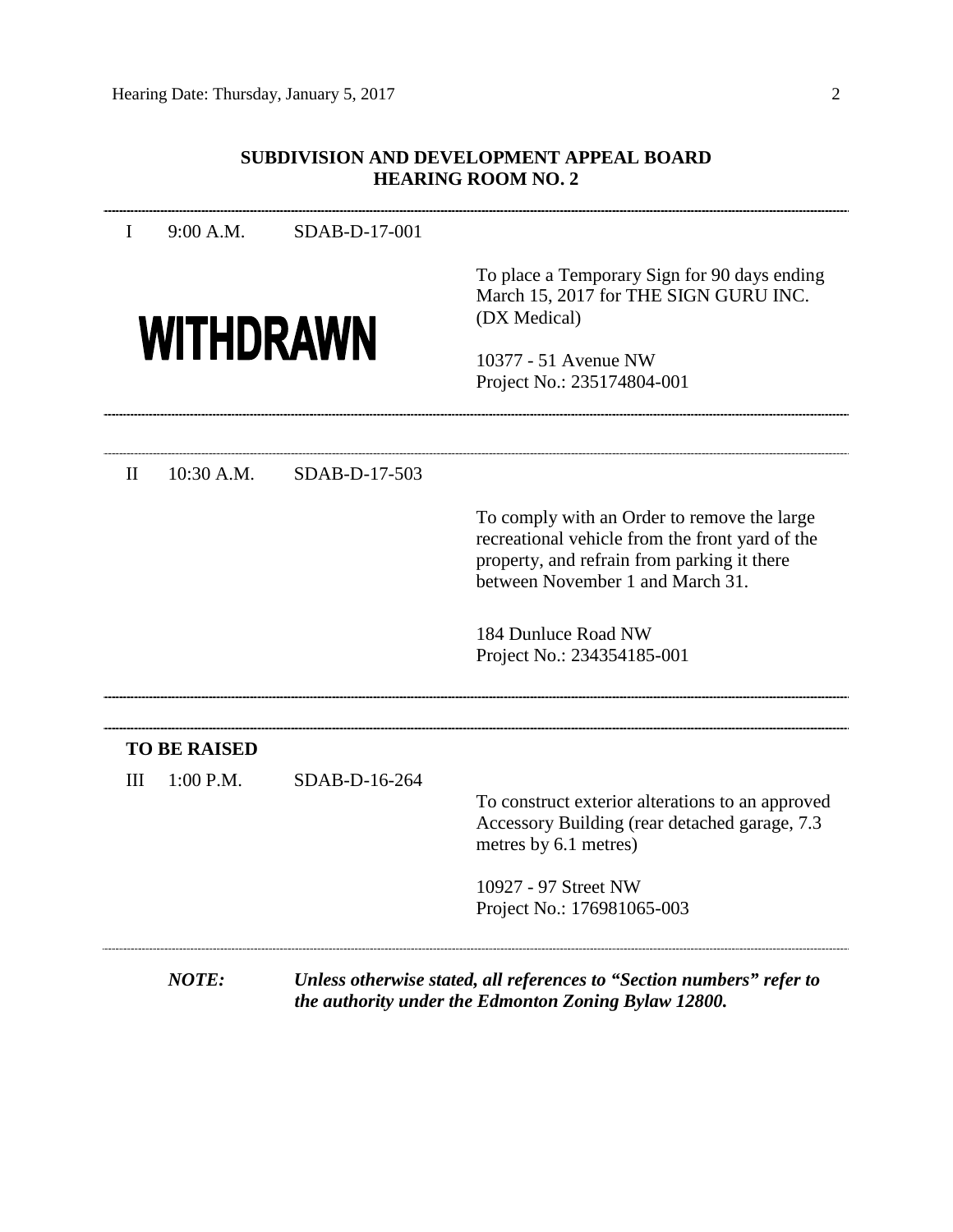# **SUBDIVISION AND DEVELOPMENT APPEAL BOARD HEARING ROOM NO. 2**

| I            | 9:00 A.M.           | SDAB-D-17-001 |                                                                                                                                                                                   |
|--------------|---------------------|---------------|-----------------------------------------------------------------------------------------------------------------------------------------------------------------------------------|
|              | <b>WITHDRAWN</b>    |               | To place a Temporary Sign for 90 days ending<br>March 15, 2017 for THE SIGN GURU INC.<br>(DX Medical)<br>10377 - 51 Avenue NW<br>Project No.: 235174804-001                       |
| $\mathbf{I}$ | 10:30 A.M.          | SDAB-D-17-503 |                                                                                                                                                                                   |
|              |                     |               | To comply with an Order to remove the large<br>recreational vehicle from the front yard of the<br>property, and refrain from parking it there<br>between November 1 and March 31. |
|              |                     |               | 184 Dunluce Road NW<br>Project No.: 234354185-001                                                                                                                                 |
|              | <b>TO BE RAISED</b> |               |                                                                                                                                                                                   |
| III          | $1:00$ P.M.         | SDAB-D-16-264 | To construct exterior alterations to an approved<br>Accessory Building (rear detached garage, 7.3)<br>metres by 6.1 metres)<br>10927 - 97 Street NW                               |
|              |                     |               | Project No.: 176981065-003                                                                                                                                                        |
|              | <b>NOTE:</b>        |               | Unless otherwise stated, all references to "Section numbers" refer to                                                                                                             |

*the authority under the Edmonton Zoning Bylaw 12800.*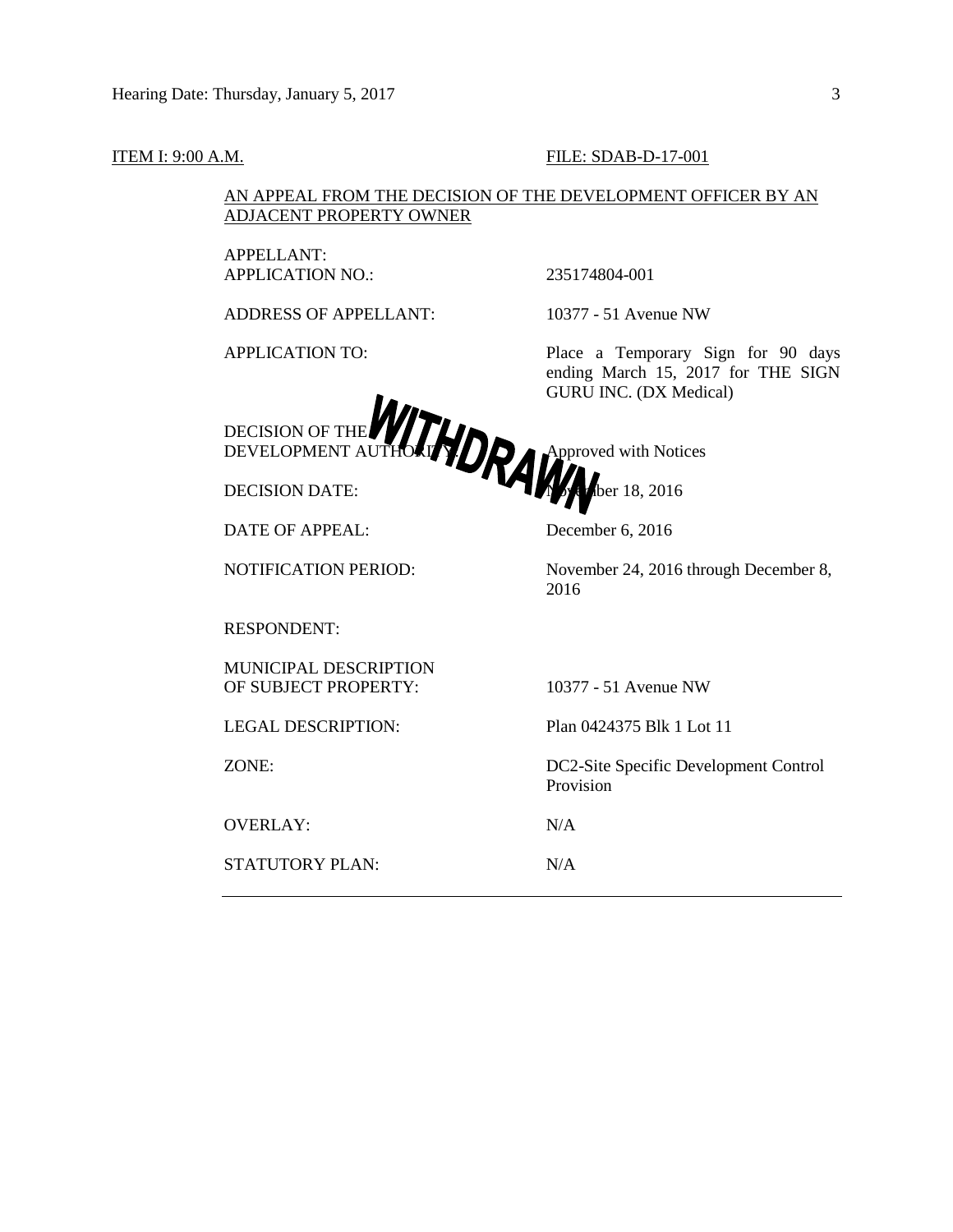#### **ITEM I: 9:00 A.M. FILE: SDAB-D-17-001**

AN APPEAL FROM THE DECISION OF THE DEVELOPMENT OFFICER BY AN ADJACENT PROPERTY OWNER

APPELLANT: APPLICATION NO.: 235174804-001

ADDRESS OF APPELLANT: 10377 - 51 Avenue NW

APPLICATION TO: Place a Temporary Sign for 90 days ending March 15, 2017 for THE SIGN GURU INC. (DX Medical)



DATE OF APPEAL: December 6, 2016

NOTIFICATION PERIOD: November 24, 2016 through December 8,

RESPONDENT:

MUNICIPAL DESCRIPTION OF SUBJECT PROPERTY: 10377 - 51 Avenue NW

STATUTORY PLAN: N/A

LEGAL DESCRIPTION: Plan 0424375 Blk 1 Lot 11

ZONE: DC2-Site Specific Development Control Provision

OVERLAY: N/A

2016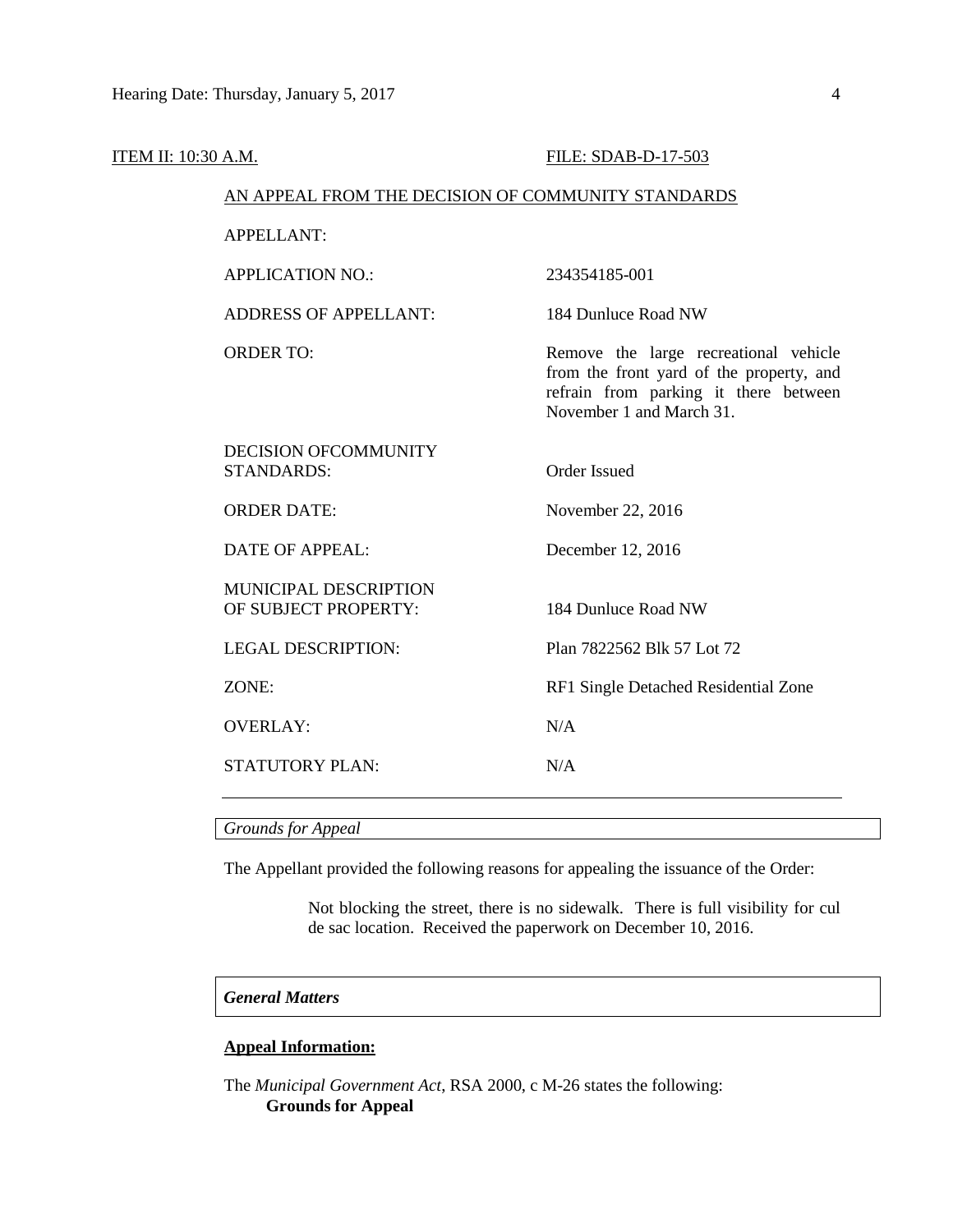| ITEM II: 10:30 A.M. |                                                    | FILE: SDAB-D-17-503                                                                                                                                    |
|---------------------|----------------------------------------------------|--------------------------------------------------------------------------------------------------------------------------------------------------------|
|                     | AN APPEAL FROM THE DECISION OF COMMUNITY STANDARDS |                                                                                                                                                        |
|                     | <b>APPELLANT:</b>                                  |                                                                                                                                                        |
|                     | <b>APPLICATION NO.:</b>                            | 234354185-001                                                                                                                                          |
|                     | <b>ADDRESS OF APPELLANT:</b>                       | 184 Dunluce Road NW                                                                                                                                    |
|                     | <b>ORDER TO:</b>                                   | Remove the large recreational vehicle<br>from the front yard of the property, and<br>refrain from parking it there between<br>November 1 and March 31. |
|                     | <b>DECISION OFCOMMUNITY</b><br><b>STANDARDS:</b>   | <b>Order Issued</b>                                                                                                                                    |
|                     | <b>ORDER DATE:</b>                                 | November 22, 2016                                                                                                                                      |
|                     | <b>DATE OF APPEAL:</b>                             | December 12, 2016                                                                                                                                      |
|                     | MUNICIPAL DESCRIPTION<br>OF SUBJECT PROPERTY:      | 184 Dunluce Road NW                                                                                                                                    |
|                     | <b>LEGAL DESCRIPTION:</b>                          | Plan 7822562 Blk 57 Lot 72                                                                                                                             |
|                     | ZONE:                                              | RF1 Single Detached Residential Zone                                                                                                                   |
|                     | <b>OVERLAY:</b>                                    | N/A                                                                                                                                                    |
|                     | STATUTORY PLAN:                                    | N/A                                                                                                                                                    |

*Grounds for Appeal*

The Appellant provided the following reasons for appealing the issuance of the Order:

Not blocking the street, there is no sidewalk. There is full visibility for cul de sac location. Received the paperwork on December 10, 2016.

### *General Matters*

### **Appeal Information:**

The *Municipal Government Act*, RSA 2000, c M-26 states the following: **Grounds for Appeal**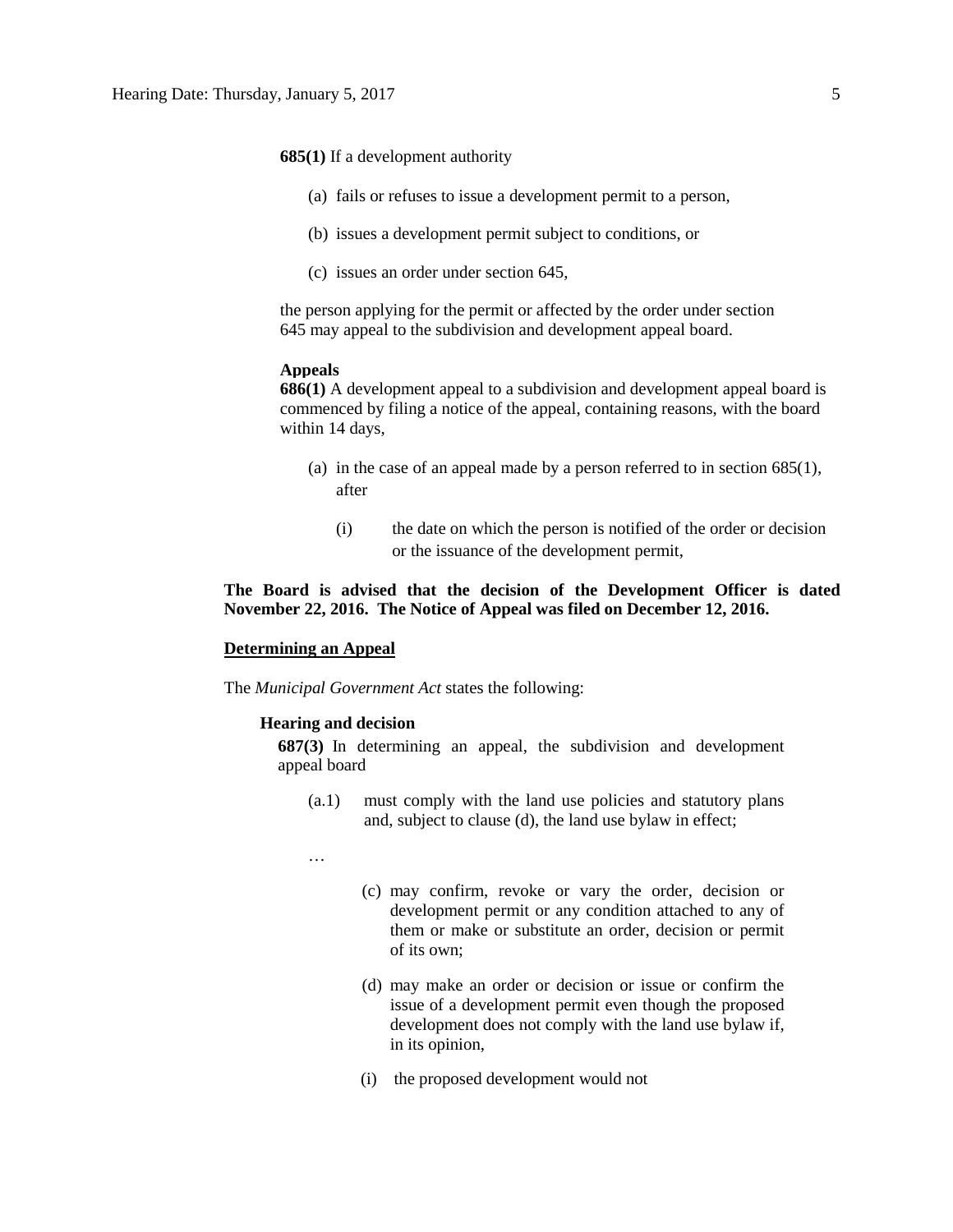**685(1)** If a development authority

- (a) fails or refuses to issue a development permit to a person,
- (b) issues a development permit subject to conditions, or
- (c) issues an order under section 645,

the person applying for the permit or affected by the order under section 645 may appeal to the subdivision and development appeal board.

### **Appeals**

**686(1)** A development appeal to a subdivision and development appeal board is commenced by filing a notice of the appeal, containing reasons, with the board within 14 days,

- (a) in the case of an appeal made by a person referred to in section 685(1), after
	- (i) the date on which the person is notified of the order or decision or the issuance of the development permit,

## **The Board is advised that the decision of the Development Officer is dated November 22, 2016. The Notice of Appeal was filed on December 12, 2016.**

#### **Determining an Appeal**

The *Municipal Government Act* states the following:

### **Hearing and decision**

**687(3)** In determining an appeal, the subdivision and development appeal board

- (a.1) must comply with the land use policies and statutory plans and, subject to clause (d), the land use bylaw in effect;
- …
- (c) may confirm, revoke or vary the order, decision or development permit or any condition attached to any of them or make or substitute an order, decision or permit of its own;
- (d) may make an order or decision or issue or confirm the issue of a development permit even though the proposed development does not comply with the land use bylaw if, in its opinion,
- (i) the proposed development would not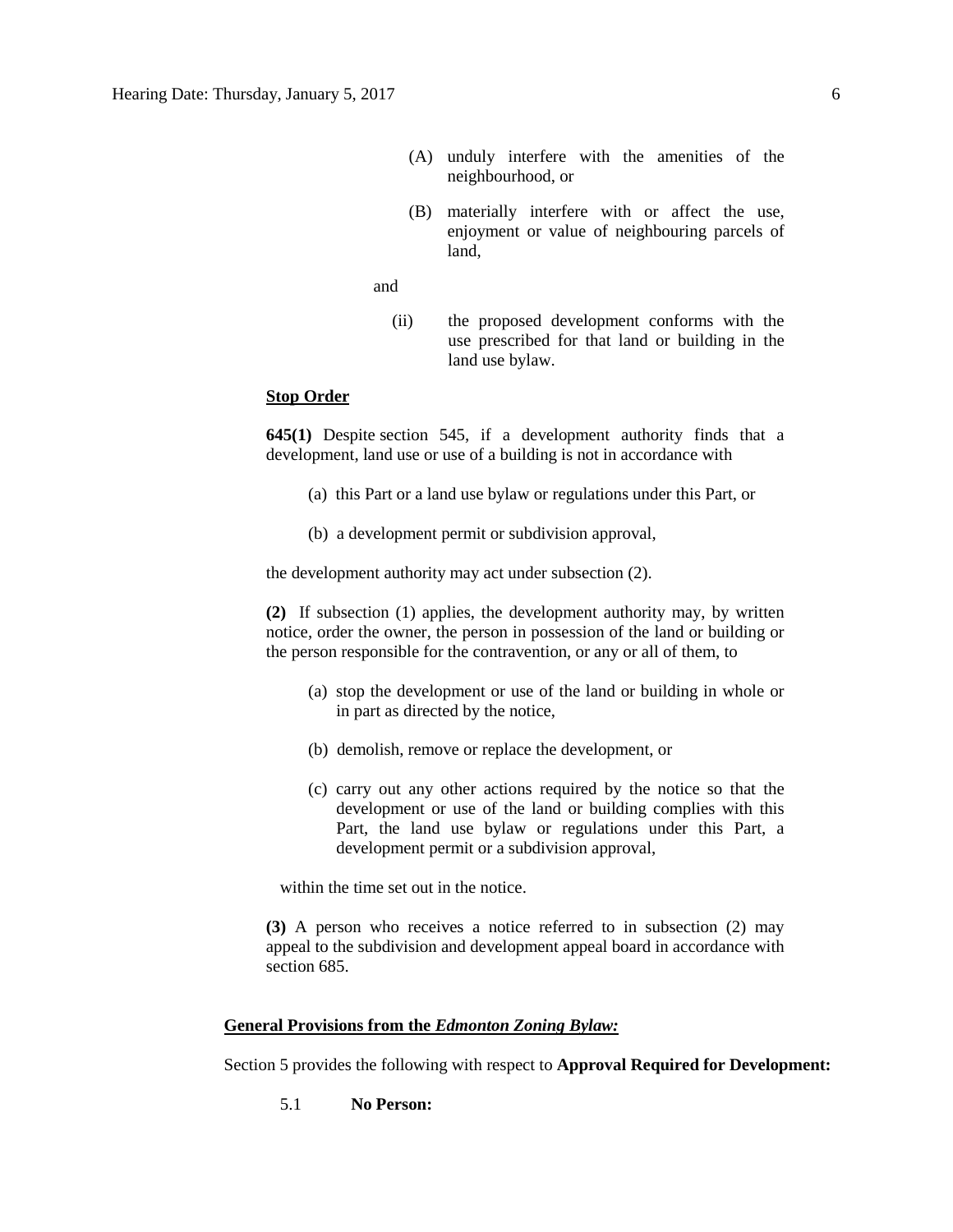- (A) unduly interfere with the amenities of the neighbourhood, or
- (B) materially interfere with or affect the use, enjoyment or value of neighbouring parcels of land,

and

(ii) the proposed development conforms with the use prescribed for that land or building in the land use bylaw.

## **Stop Order**

**645(1)** Despite [section 545,](https://www.canlii.org/en/ab/laws/stat/rsa-2000-c-m-26/latest/rsa-2000-c-m-26.html%23sec545_smooth) if a development authority finds that a development, land use or use of a building is not in accordance with

- (a) this Part or a land use bylaw or regulations under this Part, or
- (b) a development permit or subdivision approval,

the development authority may act under subsection (2).

**(2)** If subsection (1) applies, the development authority may, by written notice, order the owner, the person in possession of the land or building or the person responsible for the contravention, or any or all of them, to

- (a) stop the development or use of the land or building in whole or in part as directed by the notice,
- (b) demolish, remove or replace the development, or
- (c) carry out any other actions required by the notice so that the development or use of the land or building complies with this Part, the land use bylaw or regulations under this Part, a development permit or a subdivision approval,

within the time set out in the notice.

**(3)** A person who receives a notice referred to in subsection (2) may appeal to the subdivision and development appeal board in accordance with section 685.

### **General Provisions from the** *Edmonton Zoning Bylaw:*

Section 5 provides the following with respect to **Approval Required for Development:**

5.1 **No Person:**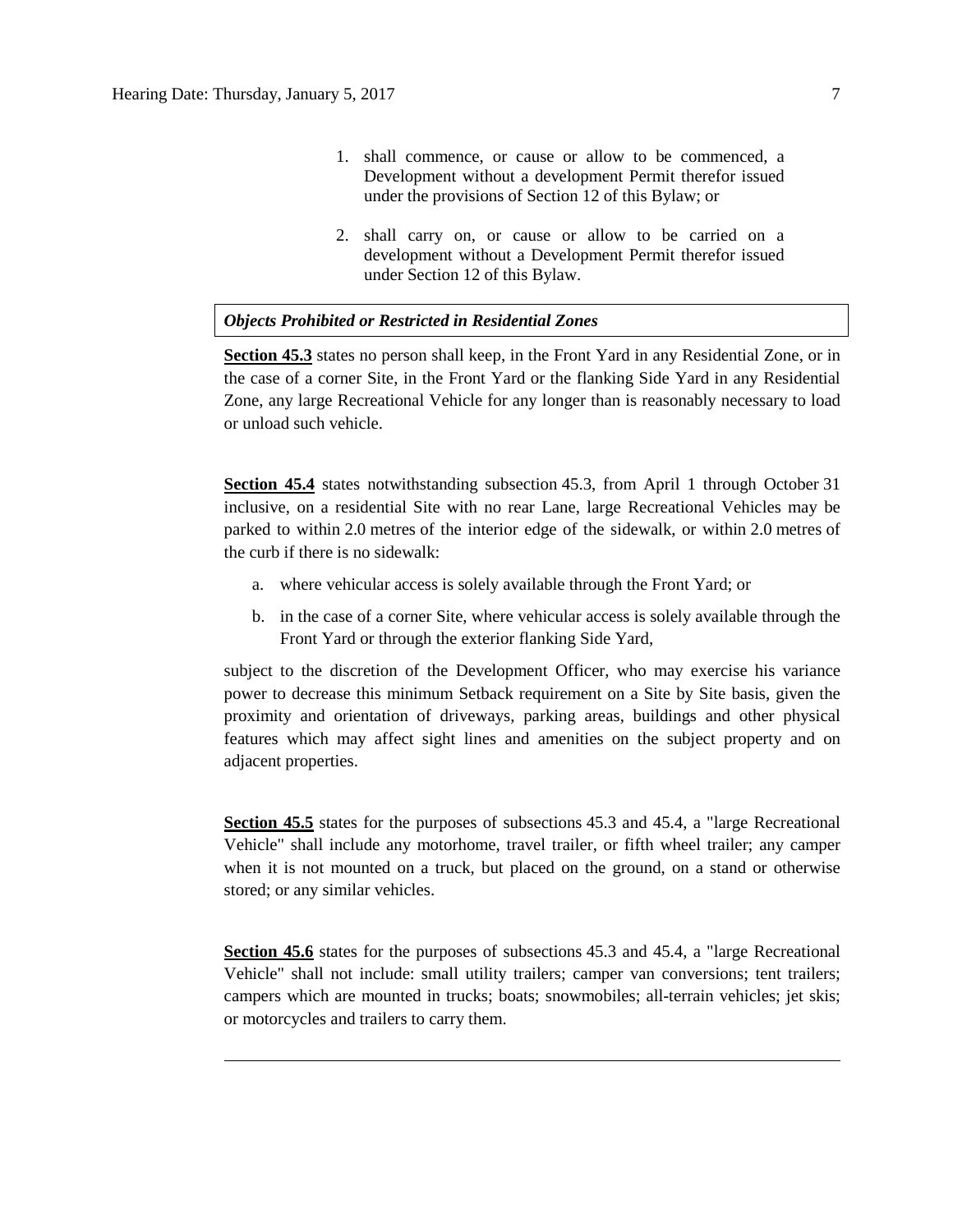- 1. shall commence, or cause or allow to be commenced, a Development without a development Permit therefor issued under the provisions of [Section](http://webdocs.edmonton.ca/InfraPlan/zoningbylaw/ZoningBylaw/Part1/Administrative/12__Development_Classes.htm) 12 of this Bylaw; or
- 2. shall carry on, or cause or allow to be carried on a development without a Development Permit therefor issued under [Section](http://webdocs.edmonton.ca/InfraPlan/zoningbylaw/ZoningBylaw/Part1/Administrative/12__Development_Classes.htm) 12 of this Bylaw.

#### *Objects Prohibited or Restricted in Residential Zones*

**Section 45.3** states no person shall keep, in the Front Yard in any Residential Zone, or in the case of a corner Site, in the Front Yard or the flanking Side Yard in any Residential Zone, any large Recreational Vehicle for any longer than is reasonably necessary to load or unload such vehicle.

**Section 45.4** states notwithstanding subsection 45.3, from April 1 through October 31 inclusive, on a residential Site with no rear Lane, large Recreational Vehicles may be parked to within [2.0](javascript:void(0);) metres of the interior edge of the sidewalk, or within [2.0](javascript:void(0);) metres of the curb if there is no sidewalk:

- a. where vehicular access is solely available through the Front Yard; or
- b. in the case of a corner Site, where vehicular access is solely available through the Front Yard or through the exterior flanking Side Yard,

subject to the discretion of the Development Officer, who may exercise his variance power to decrease this minimum Setback requirement on a Site by Site basis, given the proximity and orientation of driveways, parking areas, buildings and other physical features which may affect sight lines and amenities on the subject property and on adjacent properties.

**Section 45.5** states for the purposes of subsections 45.3 and 45.4, a "large Recreational" Vehicle" shall include any motorhome, travel trailer, or fifth wheel trailer; any camper when it is not mounted on a truck, but placed on the ground, on a stand or otherwise stored; or any similar vehicles.

**Section 45.6** states for the purposes of subsections 45.3 and 45.4, a "large Recreational" Vehicle" shall not include: small utility trailers; camper van conversions; tent trailers; campers which are mounted in trucks; boats; snowmobiles; all-terrain vehicles; jet skis; or motorcycles and trailers to carry them.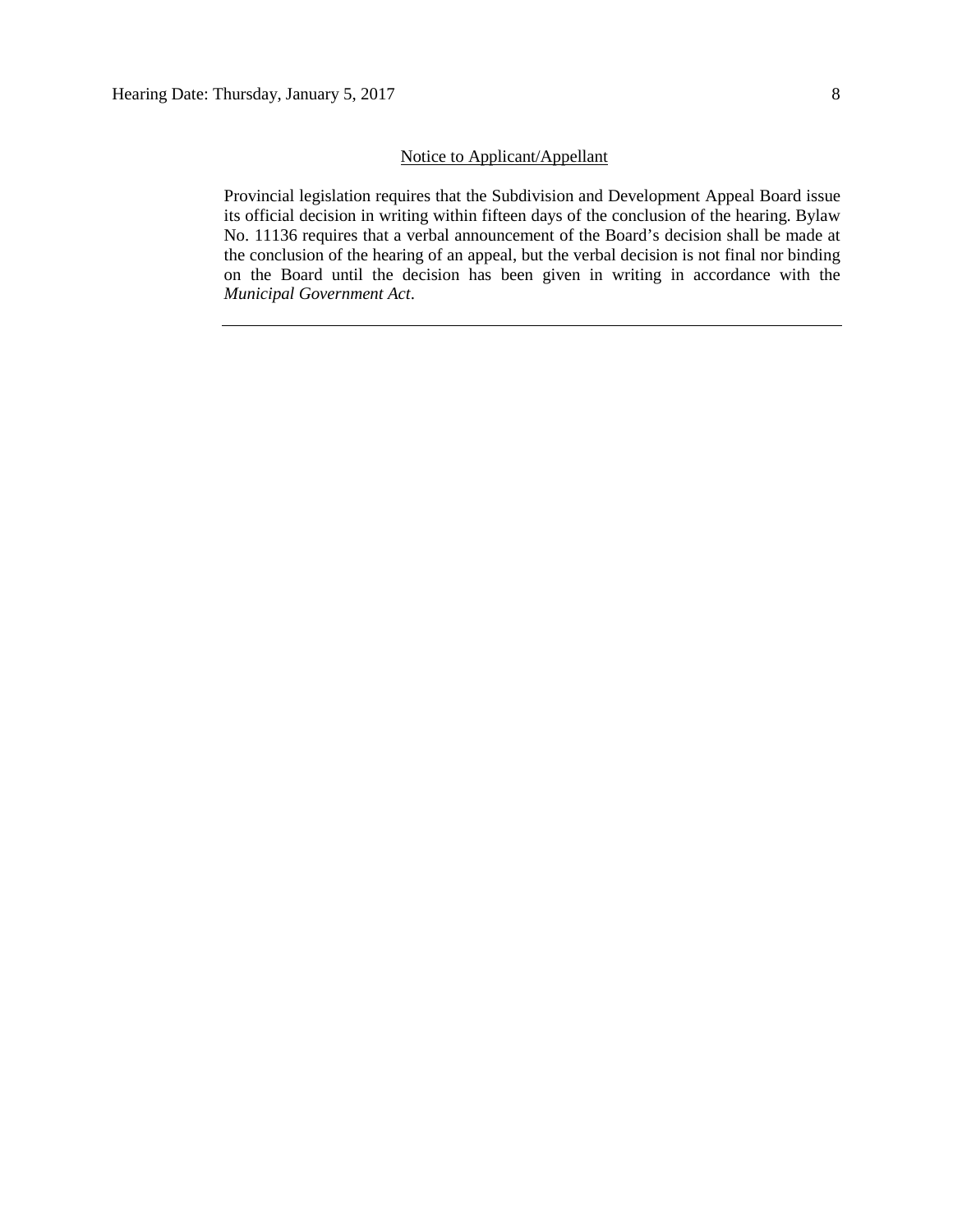# Notice to Applicant/Appellant

Provincial legislation requires that the Subdivision and Development Appeal Board issue its official decision in writing within fifteen days of the conclusion of the hearing. Bylaw No. 11136 requires that a verbal announcement of the Board's decision shall be made at the conclusion of the hearing of an appeal, but the verbal decision is not final nor binding on the Board until the decision has been given in writing in accordance with the *Municipal Government Act*.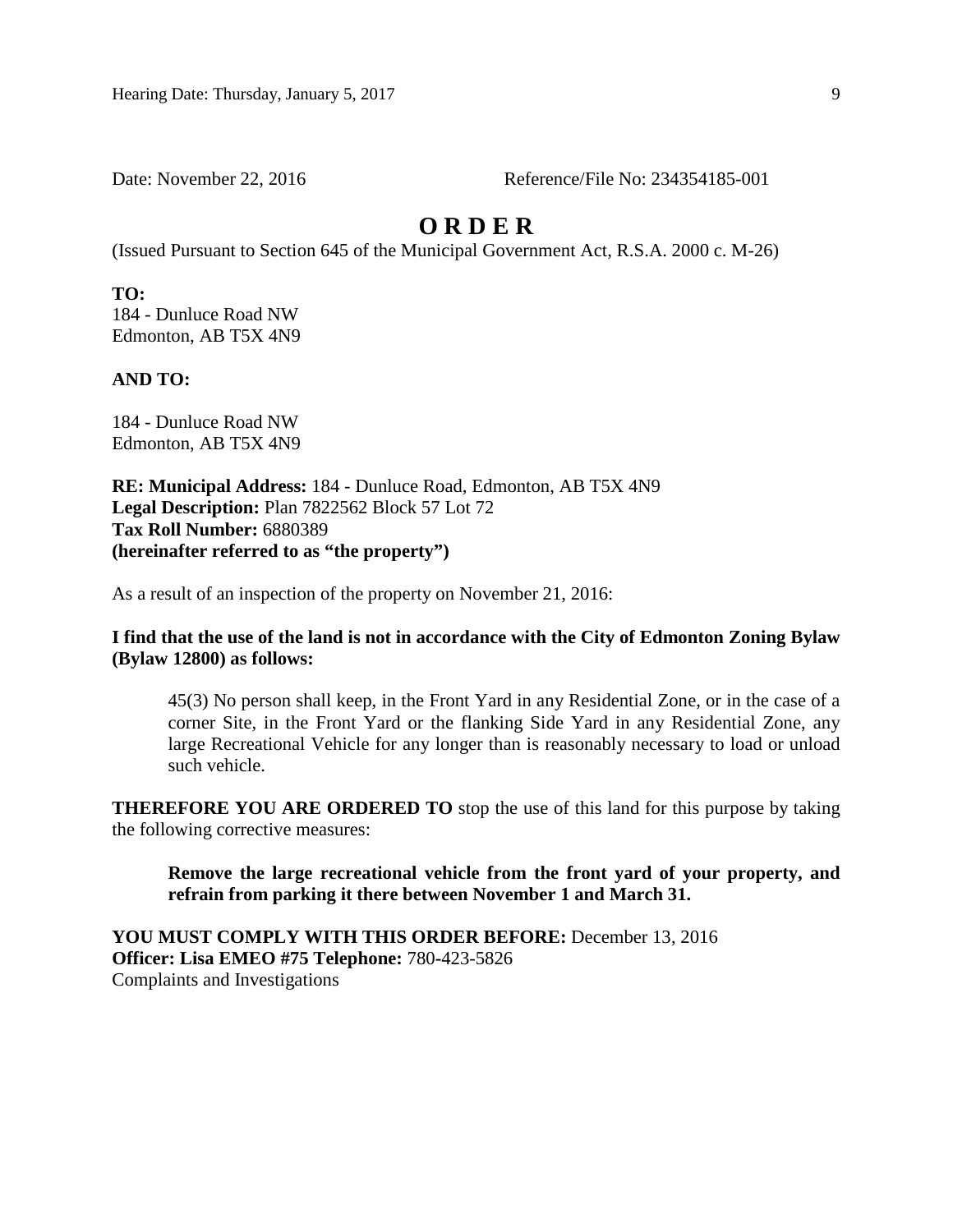Date: November 22, 2016 Reference/File No: 234354185-001

# **O R D E R**

(Issued Pursuant to Section 645 of the Municipal Government Act, R.S.A. 2000 c. M-26)

**TO:**  184 - Dunluce Road NW Edmonton, AB T5X 4N9

**AND TO:**

184 - Dunluce Road NW Edmonton, AB T5X 4N9

**RE: Municipal Address:** 184 - Dunluce Road, Edmonton, AB T5X 4N9 **Legal Description:** Plan 7822562 Block 57 Lot 72 **Tax Roll Number:** 6880389 **(hereinafter referred to as "the property")** 

As a result of an inspection of the property on November 21, 2016:

## **I find that the use of the land is not in accordance with the City of Edmonton Zoning Bylaw (Bylaw 12800) as follows:**

45(3) No person shall keep, in the Front Yard in any Residential Zone, or in the case of a corner Site, in the Front Yard or the flanking Side Yard in any Residential Zone, any large Recreational Vehicle for any longer than is reasonably necessary to load or unload such vehicle.

**THEREFORE YOU ARE ORDERED TO** stop the use of this land for this purpose by taking the following corrective measures:

**Remove the large recreational vehicle from the front yard of your property, and refrain from parking it there between November 1 and March 31.** 

**YOU MUST COMPLY WITH THIS ORDER BEFORE:** December 13, 2016 **Officer: Lisa EMEO #75 Telephone:** 780**-**423-5826 Complaints and Investigations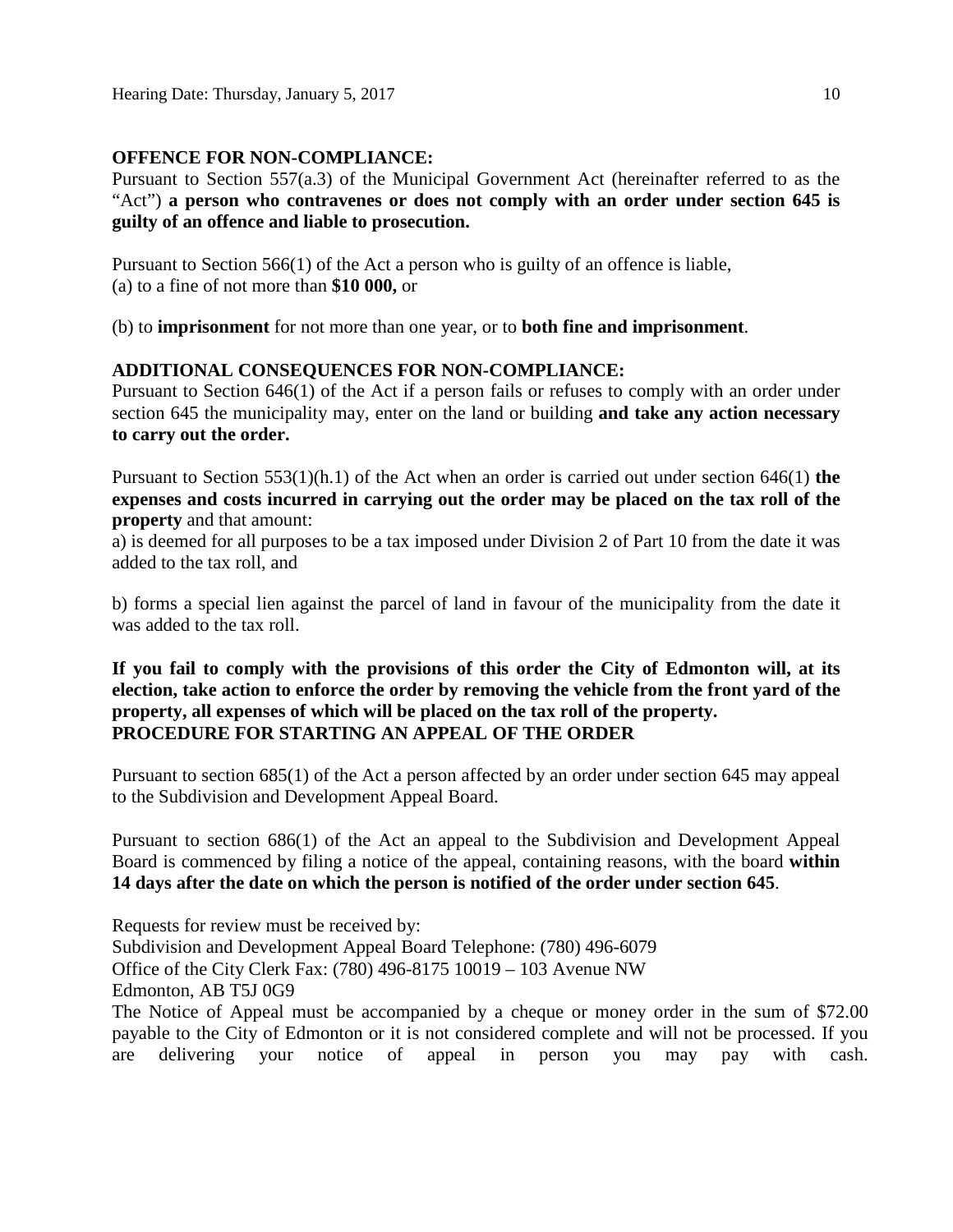# **OFFENCE FOR NON-COMPLIANCE:**

Pursuant to Section 557(a.3) of the Municipal Government Act (hereinafter referred to as the "Act") **a person who contravenes or does not comply with an order under section 645 is guilty of an offence and liable to prosecution.** 

Pursuant to Section 566(1) of the Act a person who is guilty of an offence is liable, (a) to a fine of not more than **\$10 000,** or

(b) to **imprisonment** for not more than one year, or to **both fine and imprisonment**.

# **ADDITIONAL CONSEQUENCES FOR NON-COMPLIANCE:**

Pursuant to Section 646(1) of the Act if a person fails or refuses to comply with an order under section 645 the municipality may, enter on the land or building **and take any action necessary to carry out the order.** 

Pursuant to Section 553(1)(h.1) of the Act when an order is carried out under section 646(1) **the expenses and costs incurred in carrying out the order may be placed on the tax roll of the property** and that amount:

a) is deemed for all purposes to be a tax imposed under Division 2 of Part 10 from the date it was added to the tax roll, and

b) forms a special lien against the parcel of land in favour of the municipality from the date it was added to the tax roll.

# **If you fail to comply with the provisions of this order the City of Edmonton will, at its election, take action to enforce the order by removing the vehicle from the front yard of the property, all expenses of which will be placed on the tax roll of the property. PROCEDURE FOR STARTING AN APPEAL OF THE ORDER**

Pursuant to section 685(1) of the Act a person affected by an order under section 645 may appeal to the Subdivision and Development Appeal Board.

Pursuant to section 686(1) of the Act an appeal to the Subdivision and Development Appeal Board is commenced by filing a notice of the appeal, containing reasons, with the board **within 14 days after the date on which the person is notified of the order under section 645**.

Requests for review must be received by: Subdivision and Development Appeal Board Telephone: (780) 496-6079 Office of the City Clerk Fax: (780) 496-8175 10019 – 103 Avenue NW Edmonton, AB T5J 0G9 The Notice of Appeal must be accompanied by a cheque or money order in the sum of \$72.00

payable to the City of Edmonton or it is not considered complete and will not be processed. If you are delivering your notice of appeal in person you may pay with cash.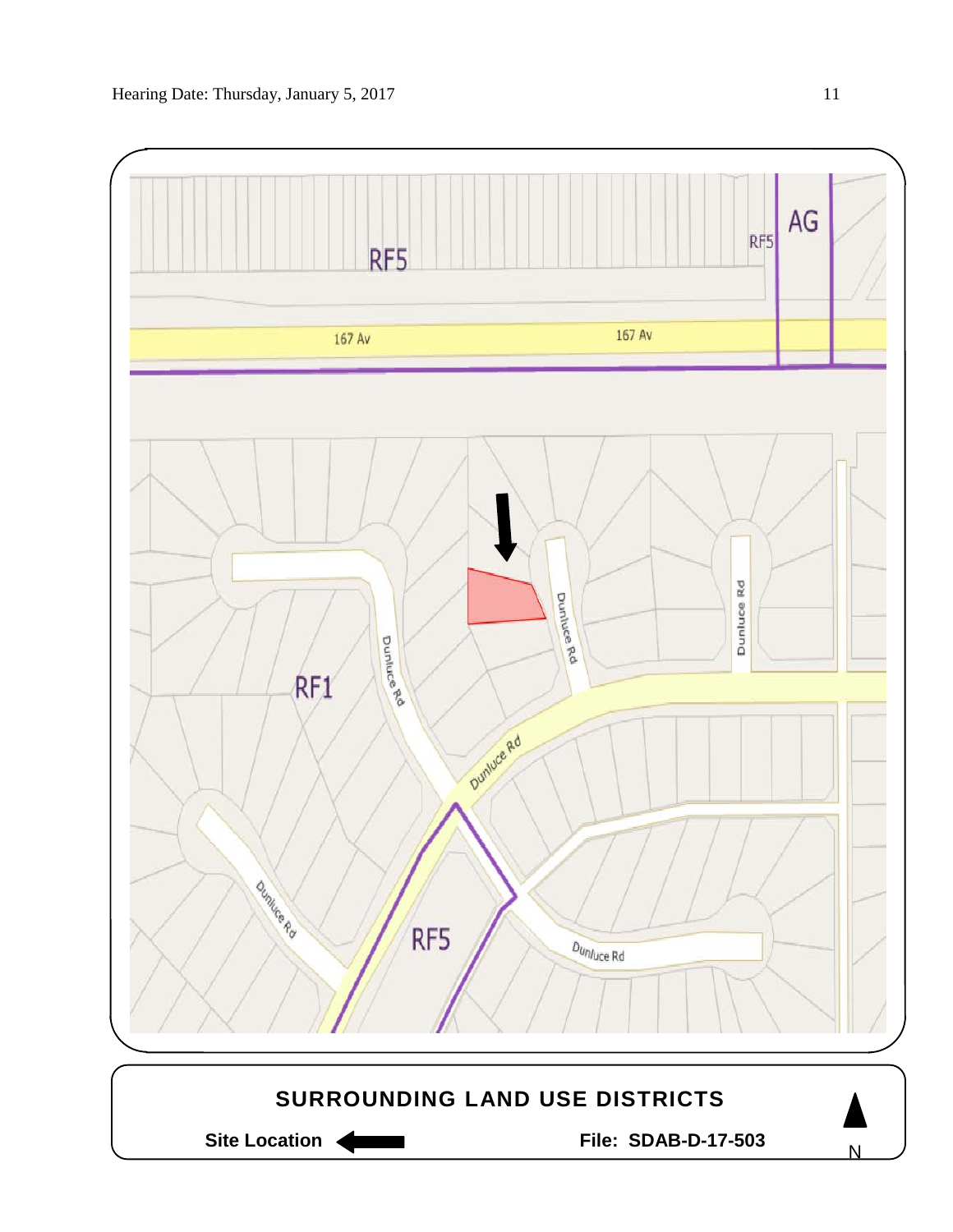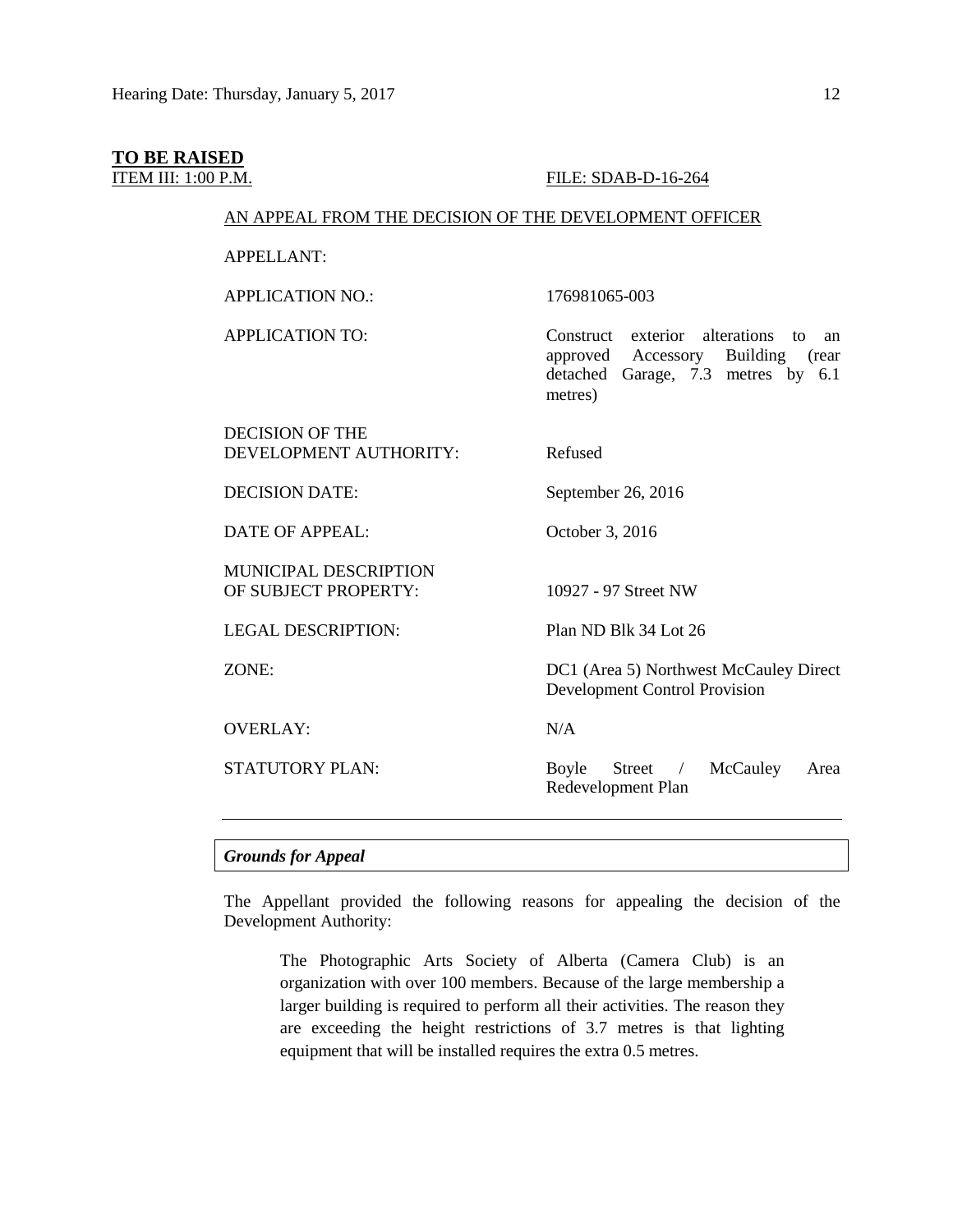# **TO BE RAISED**

#### ITEM III: 1:00 P.M. FILE: SDAB-D-16-264

### AN APPEAL FROM THE DECISION OF THE DEVELOPMENT OFFICER

APPELLANT:

APPLICATION NO.: 176981065-003

APPLICATION TO: Construct exterior alterations to an approved Accessory Building (rear detached Garage, 7.3 metres by 6.1 metres)

DECISION OF THE DEVELOPMENT AUTHORITY: Refused

DECISION DATE: September 26, 2016

DATE OF APPEAL: October 3, 2016

MUNICIPAL DESCRIPTION OF SUBJECT PROPERTY: 10927 - 97 Street NW

LEGAL DESCRIPTION: Plan ND Blk 34 Lot 26

OVERLAY: N/A

ZONE: DC1 (Area 5) Northwest McCauley Direct Development Control Provision

STATUTORY PLAN: Boyle Street / McCauley Area Redevelopment Plan

### *Grounds for Appeal*

The Appellant provided the following reasons for appealing the decision of the Development Authority:

The Photographic Arts Society of Alberta (Camera Club) is an organization with over 100 members. Because of the large membership a larger building is required to perform all their activities. The reason they are exceeding the height restrictions of 3.7 metres is that lighting equipment that will be installed requires the extra 0.5 metres.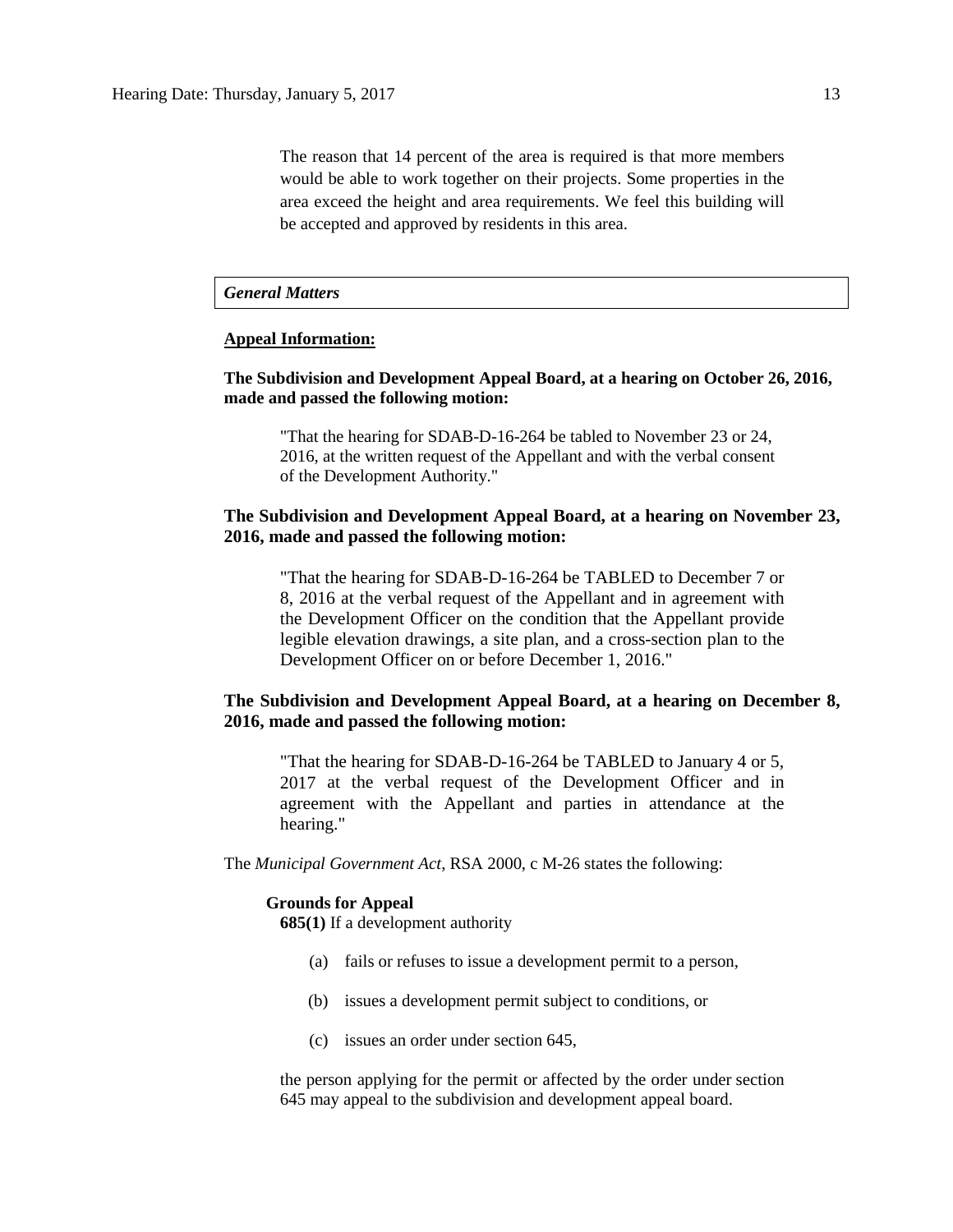The reason that 14 percent of the area is required is that more members would be able to work together on their projects. Some properties in the area exceed the height and area requirements. We feel this building will be accepted and approved by residents in this area.

### *General Matters*

### **Appeal Information:**

## **The Subdivision and Development Appeal Board, at a hearing on October 26, 2016, made and passed the following motion:**

"That the hearing for SDAB-D-16-264 be tabled to November 23 or 24, 2016, at the written request of the Appellant and with the verbal consent of the Development Authority."

## **The Subdivision and Development Appeal Board, at a hearing on November 23, 2016, made and passed the following motion:**

"That the hearing for SDAB-D-16-264 be TABLED to December 7 or 8, 2016 at the verbal request of the Appellant and in agreement with the Development Officer on the condition that the Appellant provide legible elevation drawings, a site plan, and a cross-section plan to the Development Officer on or before December 1, 2016."

## **The Subdivision and Development Appeal Board, at a hearing on December 8, 2016, made and passed the following motion:**

"That the hearing for SDAB-D-16-264 be TABLED to January 4 or 5, 2017 at the verbal request of the Development Officer and in agreement with the Appellant and parties in attendance at the hearing."

The *Municipal Government Act*, RSA 2000, c M-26 states the following:

#### **Grounds for Appeal**

**685(1)** If a development authority

- (a) fails or refuses to issue a development permit to a person,
- (b) issues a development permit subject to conditions, or
- (c) issues an order under section 645,

the person applying for the permit or affected by the order under section 645 may appeal to the subdivision and development appeal board.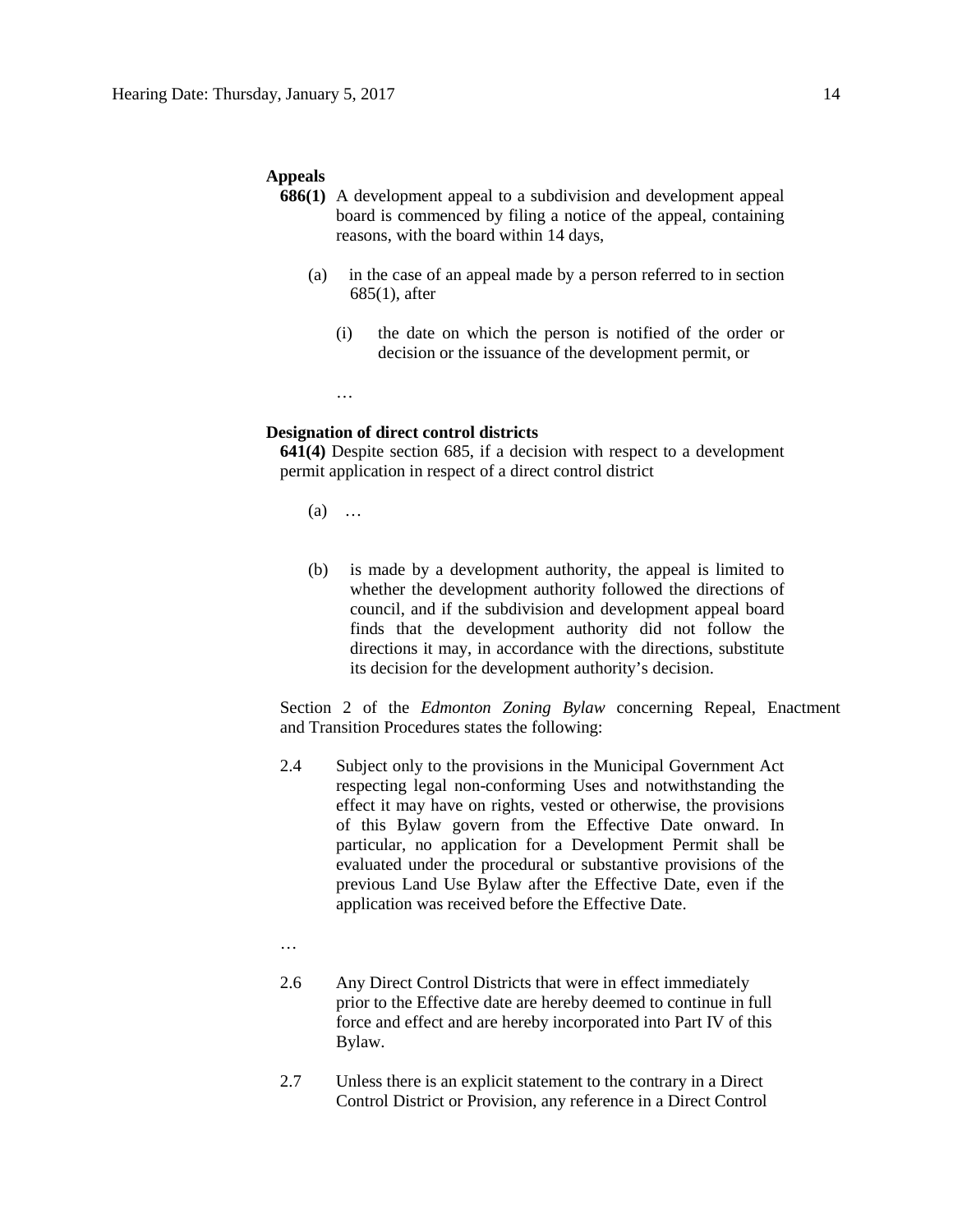#### **Appeals**

- **686(1)** A development appeal to a subdivision and development appeal board is commenced by filing a notice of the appeal, containing reasons, with the board within 14 days,
	- (a) in the case of an appeal made by a person referred to in section 685(1), after
		- (i) the date on which the person is notified of the order or decision or the issuance of the development permit, or

### **Designation of direct control districts**

**641(4)** Despite section 685, if a decision with respect to a development permit application in respect of a direct control district

(a) …

…

(b) is made by a development authority, the appeal is limited to whether the development authority followed the directions of council, and if the subdivision and development appeal board finds that the development authority did not follow the directions it may, in accordance with the directions, substitute its decision for the development authority's decision.

Section 2 of the *Edmonton Zoning Bylaw* concerning Repeal, Enactment and Transition Procedures states the following:

- 2.4 Subject only to the provisions in the Municipal Government Act respecting legal non-conforming Uses and notwithstanding the effect it may have on rights, vested or otherwise, the provisions of this Bylaw govern from the Effective Date onward. In particular, no application for a Development Permit shall be evaluated under the procedural or substantive provisions of the previous Land Use Bylaw after the Effective Date, even if the application was received before the Effective Date.
- …
- 2.6 Any Direct Control Districts that were in effect immediately prior to the Effective date are hereby deemed to continue in full force and effect and are hereby incorporated into Part IV of this Bylaw.
- 2.7 Unless there is an explicit statement to the contrary in a Direct Control District or Provision, any reference in a Direct Control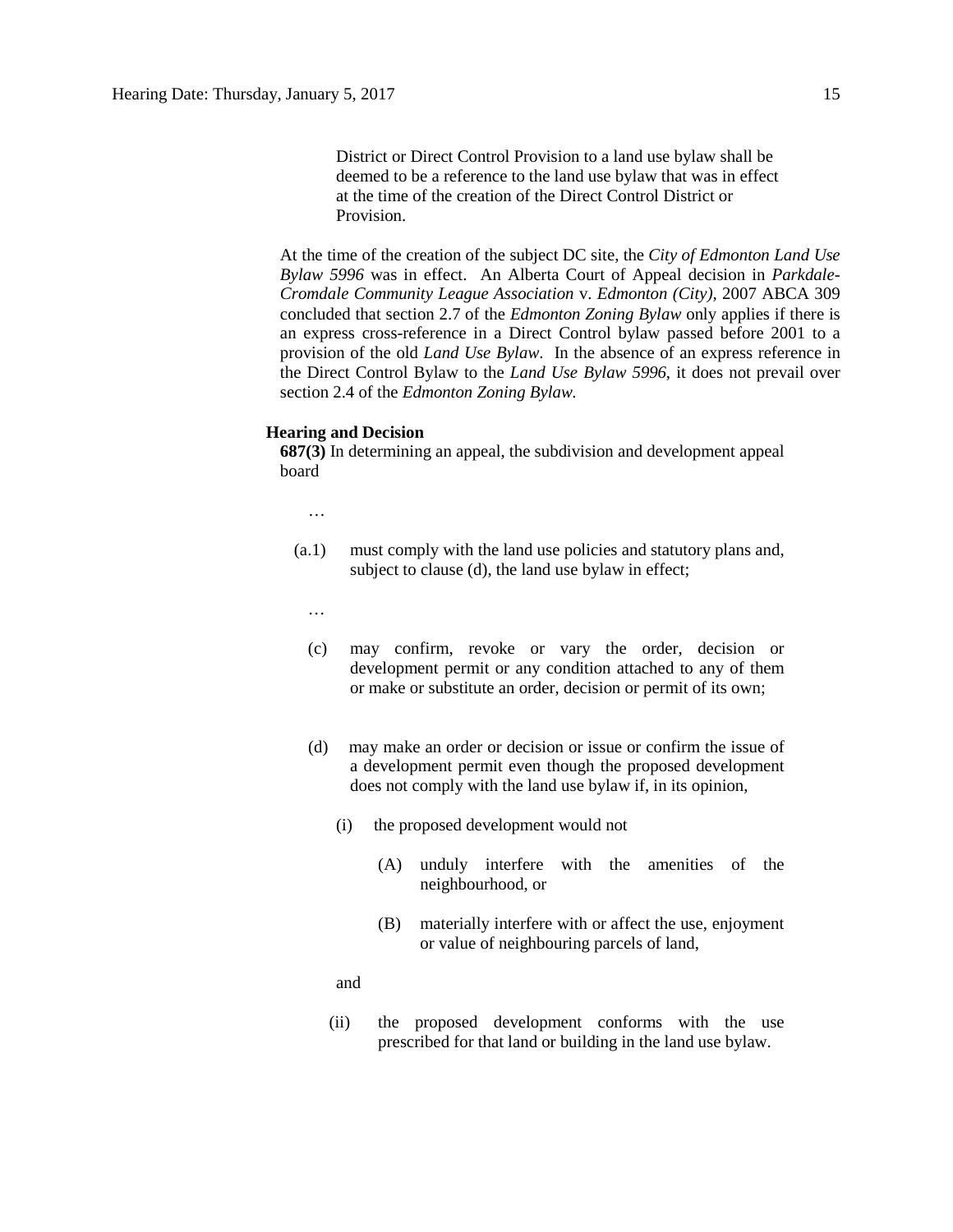District or Direct Control Provision to a land use bylaw shall be deemed to be a reference to the land use bylaw that was in effect at the time of the creation of the Direct Control District or Provision.

At the time of the creation of the subject DC site, the *City of Edmonton Land Use Bylaw 5996* was in effect. An Alberta Court of Appeal decision in *Parkdale-Cromdale Community League Association* v. *Edmonton (City),* 2007 ABCA 309 concluded that section 2.7 of the *Edmonton Zoning Bylaw* only applies if there is an express cross-reference in a Direct Control bylaw passed before 2001 to a provision of the old *Land Use Bylaw*. In the absence of an express reference in the Direct Control Bylaw to the *Land Use Bylaw 5996*, it does not prevail over section 2.4 of the *Edmonton Zoning Bylaw.*

### **Hearing and Decision**

**687(3)** In determining an appeal, the subdivision and development appeal board

…

- (a.1) must comply with the land use policies and statutory plans and, subject to clause (d), the land use bylaw in effect;
	- …
	- (c) may confirm, revoke or vary the order, decision or development permit or any condition attached to any of them or make or substitute an order, decision or permit of its own;
	- (d) may make an order or decision or issue or confirm the issue of a development permit even though the proposed development does not comply with the land use bylaw if, in its opinion,
		- (i) the proposed development would not
			- (A) unduly interfere with the amenities of the neighbourhood, or
			- (B) materially interfere with or affect the use, enjoyment or value of neighbouring parcels of land,

and

(ii) the proposed development conforms with the use prescribed for that land or building in the land use bylaw.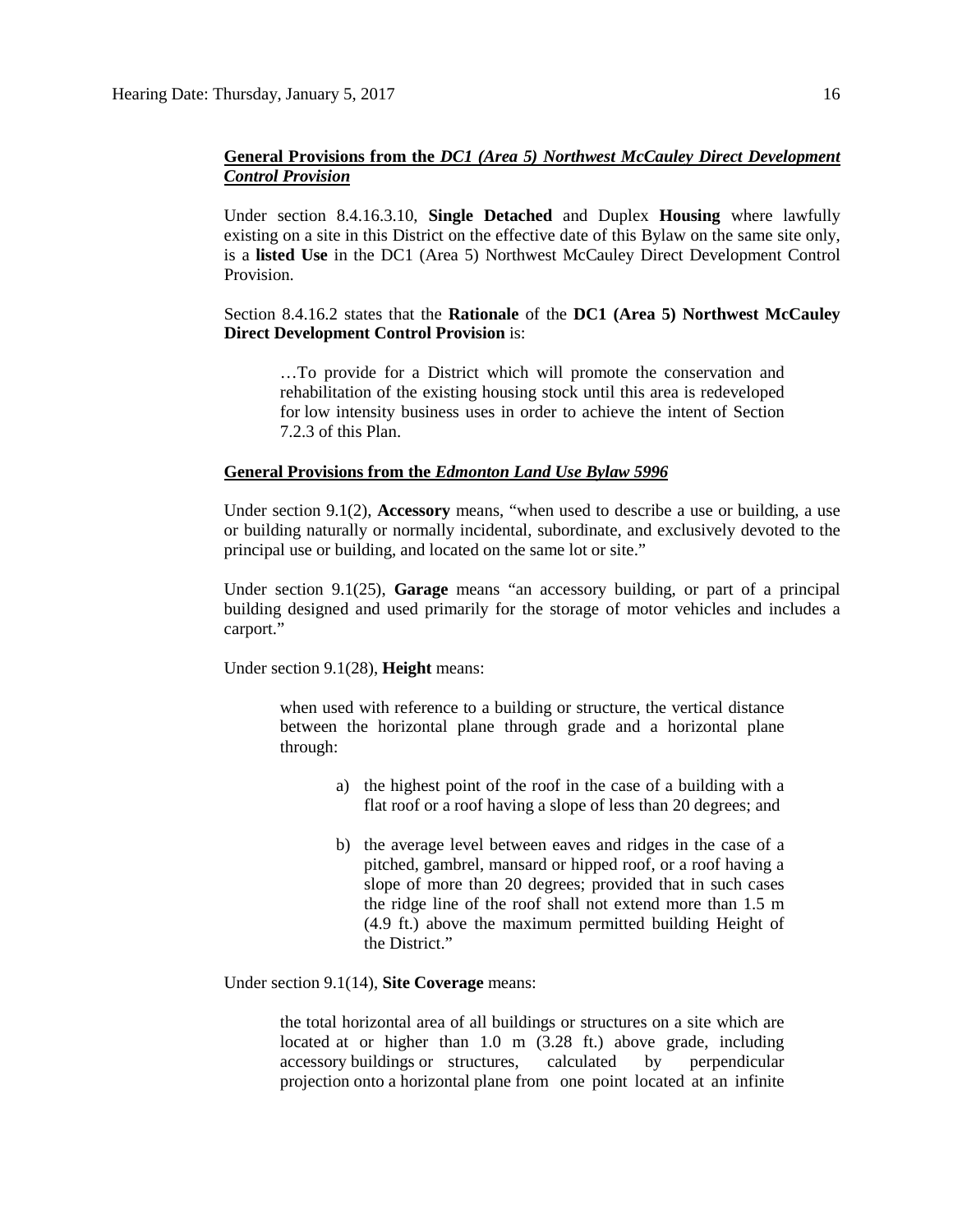## **General Provisions from the** *DC1 (Area 5) Northwest McCauley Direct Development Control Provision*

Under section 8.4.16.3.10, **Single Detached** and Duplex **Housing** where lawfully existing on a site in this District on the effective date of this Bylaw on the same site only, is a **listed Use** in the DC1 (Area 5) Northwest McCauley Direct Development Control Provision.

### Section 8.4.16.2 states that the **Rationale** of the **DC1 (Area 5) Northwest McCauley Direct Development Control Provision** is:

…To provide for a District which will promote the conservation and rehabilitation of the existing housing stock until this area is redeveloped for low intensity business uses in order to achieve the intent of Section 7.2.3 of this Plan.

#### **General Provisions from the** *Edmonton Land Use Bylaw 5996*

Under section 9.1(2), **Accessory** means, "when used to describe a use or building, a use or building naturally or normally incidental, subordinate, and exclusively devoted to the principal use or building, and located on the same lot or site."

Under section 9.1(25), **Garage** means "an accessory building, or part of a principal building designed and used primarily for the storage of motor vehicles and includes a carport."

Under section 9.1(28), **Height** means:

when used with reference to a building or structure, the vertical distance between the horizontal plane through grade and a horizontal plane through:

- a) the highest point of the roof in the case of a building with a flat roof or a roof having a slope of less than 20 degrees; and
- b) the average level between eaves and ridges in the case of a pitched, gambrel, mansard or hipped roof, or a roof having a slope of more than 20 degrees; provided that in such cases the ridge line of the roof shall not extend more than 1.5 m (4.9 ft.) above the maximum permitted building Height of the District."

Under section 9.1(14), **Site Coverage** means:

the total horizontal area of all buildings or structures on a site which are located at or higher than 1.0 m (3.28 ft.) above grade, including accessory buildings or structures, calculated by perpendicular projection onto a horizontal plane from one point located at an infinite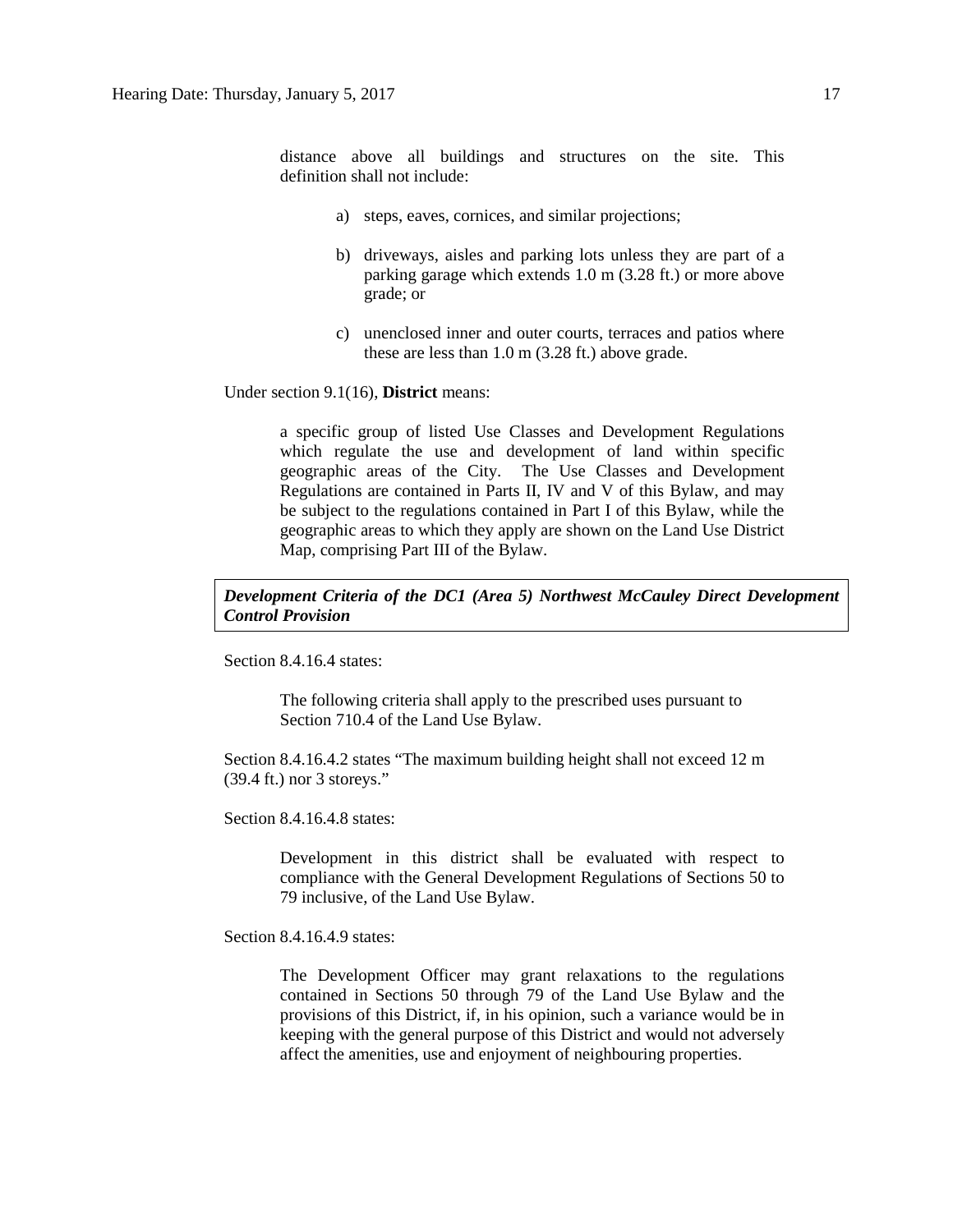distance above all buildings and structures on the site. This definition shall not include:

- a) steps, eaves, cornices, and similar projections;
- b) driveways, aisles and parking lots unless they are part of a parking garage which extends 1.0 m (3.28 ft.) or more above grade; or
- c) unenclosed inner and outer courts, terraces and patios where these are less than 1.0 m (3.28 ft.) above grade.

Under section 9.1(16), **District** means:

a specific group of listed Use Classes and Development Regulations which regulate the use and development of land within specific geographic areas of the City. The Use Classes and Development Regulations are contained in Parts II, IV and V of this Bylaw, and may be subject to the regulations contained in Part I of this Bylaw, while the geographic areas to which they apply are shown on the Land Use District Map, comprising Part III of the Bylaw.

## *Development Criteria of the DC1 (Area 5) Northwest McCauley Direct Development Control Provision*

Section 8.4.16.4 states:

The following criteria shall apply to the prescribed uses pursuant to Section 710.4 of the Land Use Bylaw.

Section 8.4.16.4.2 states "The maximum building height shall not exceed 12 m (39.4 ft.) nor 3 storeys."

Section 8.4.16.4.8 states:

Development in this district shall be evaluated with respect to compliance with the General Development Regulations of Sections 50 to 79 inclusive, of the Land Use Bylaw.

Section 8.4.16.4.9 states:

The Development Officer may grant relaxations to the regulations contained in Sections 50 through 79 of the Land Use Bylaw and the provisions of this District, if, in his opinion, such a variance would be in keeping with the general purpose of this District and would not adversely affect the amenities, use and enjoyment of neighbouring properties.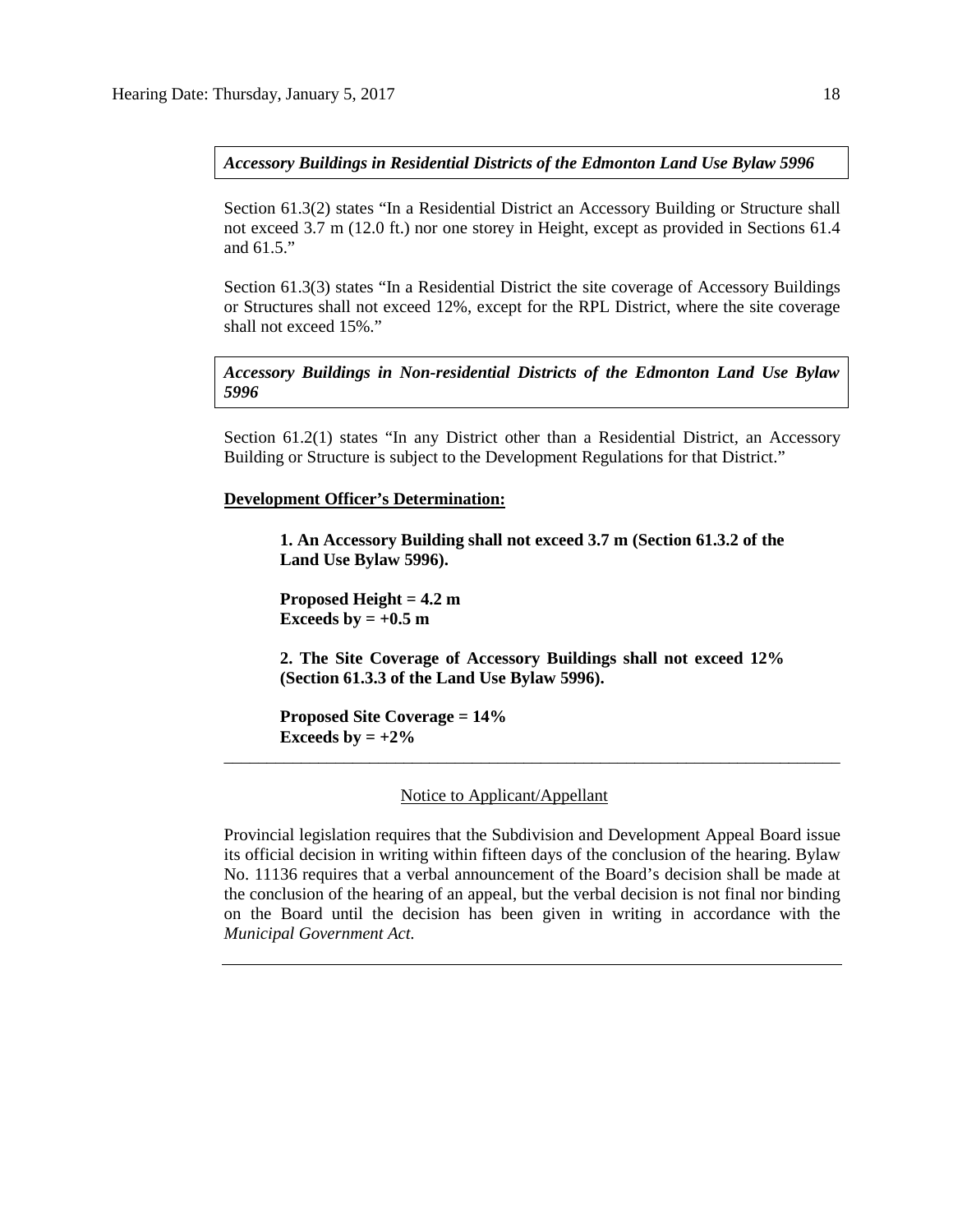*Accessory Buildings in Residential Districts of the Edmonton Land Use Bylaw 5996*

Section 61.3(2) states "In a Residential District an Accessory Building or Structure shall not exceed 3.7 m (12.0 ft.) nor one storey in Height, except as provided in Sections 61.4 and 61.5."

Section 61.3(3) states "In a Residential District the site coverage of Accessory Buildings or Structures shall not exceed 12%, except for the RPL District, where the site coverage shall not exceed 15%."

*Accessory Buildings in Non-residential Districts of the Edmonton Land Use Bylaw 5996*

Section 61.2(1) states "In any District other than a Residential District, an Accessory Building or Structure is subject to the Development Regulations for that District."

**Development Officer's Determination:**

**1. An Accessory Building shall not exceed 3.7 m (Section 61.3.2 of the Land Use Bylaw 5996).**

**Proposed Height = 4.2 m Exceeds by**  $= +0.5$  **m** 

**2. The Site Coverage of Accessory Buildings shall not exceed 12% (Section 61.3.3 of the Land Use Bylaw 5996).**

\_\_\_\_\_\_\_\_\_\_\_\_\_\_\_\_\_\_\_\_\_\_\_\_\_\_\_\_\_\_\_\_\_\_\_\_\_\_\_\_\_\_\_\_\_\_\_\_\_\_\_\_\_\_\_\_\_\_\_\_\_\_\_\_\_\_\_\_\_\_\_\_

**Proposed Site Coverage = 14% Exceeds by** =  $+2\%$ 

Notice to Applicant/Appellant

Provincial legislation requires that the Subdivision and Development Appeal Board issue its official decision in writing within fifteen days of the conclusion of the hearing. Bylaw No. 11136 requires that a verbal announcement of the Board's decision shall be made at the conclusion of the hearing of an appeal, but the verbal decision is not final nor binding on the Board until the decision has been given in writing in accordance with the *Municipal Government Act.*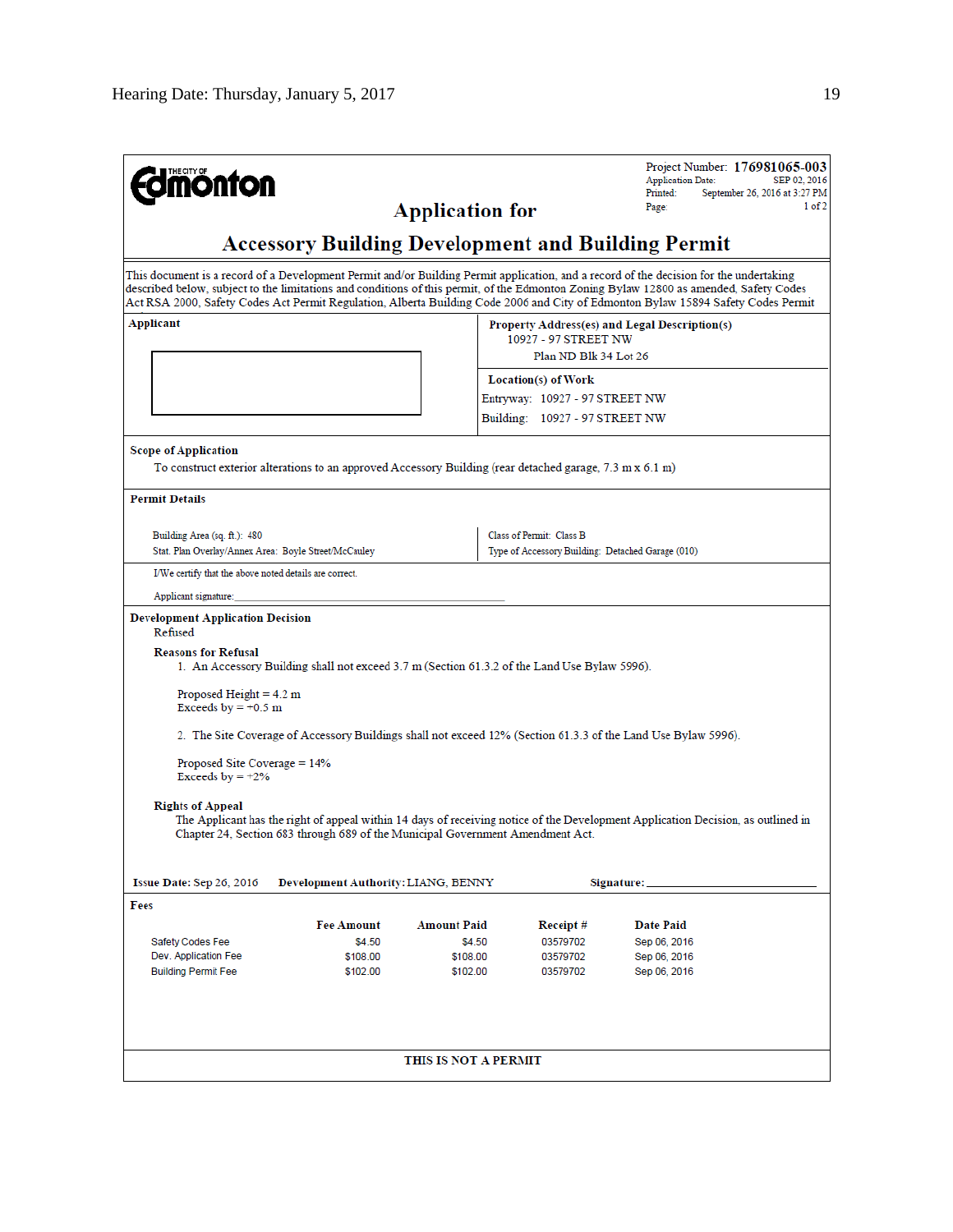| <b>nonton</b>                                                                                                                                                                                                                                                                                                                                                                                                         |                        |                                                                               | Project Number: 176981065-003<br><b>Application Date:</b><br>SEP 02, 2016<br>Printed:<br>September 26, 2016 at 3:27 PM |  |
|-----------------------------------------------------------------------------------------------------------------------------------------------------------------------------------------------------------------------------------------------------------------------------------------------------------------------------------------------------------------------------------------------------------------------|------------------------|-------------------------------------------------------------------------------|------------------------------------------------------------------------------------------------------------------------|--|
|                                                                                                                                                                                                                                                                                                                                                                                                                       | <b>Application for</b> |                                                                               | 1 of 2<br>Page:                                                                                                        |  |
| <b>Accessory Building Development and Building Permit</b>                                                                                                                                                                                                                                                                                                                                                             |                        |                                                                               |                                                                                                                        |  |
| This document is a record of a Development Permit and/or Building Permit application, and a record of the decision for the undertaking<br>described below, subject to the limitations and conditions of this permit, of the Edmonton Zoning Bylaw 12800 as amended, Safety Codes<br>Act RSA 2000, Safety Codes Act Permit Regulation, Alberta Building Code 2006 and City of Edmonton Bylaw 15894 Safety Codes Permit |                        |                                                                               |                                                                                                                        |  |
| Applicant                                                                                                                                                                                                                                                                                                                                                                                                             |                        | 10927 - 97 STREET NW                                                          | Property Address(es) and Legal Description(s)                                                                          |  |
|                                                                                                                                                                                                                                                                                                                                                                                                                       |                        | Plan ND Blk 34 Lot 26                                                         |                                                                                                                        |  |
|                                                                                                                                                                                                                                                                                                                                                                                                                       |                        | Location(s) of Work                                                           |                                                                                                                        |  |
|                                                                                                                                                                                                                                                                                                                                                                                                                       |                        | Entryway: 10927 - 97 STREET NW                                                |                                                                                                                        |  |
|                                                                                                                                                                                                                                                                                                                                                                                                                       |                        | Building: 10927 - 97 STREET NW                                                |                                                                                                                        |  |
| <b>Scope of Application</b><br>To construct exterior alterations to an approved Accessory Building (rear detached garage, 7.3 m x 6.1 m)                                                                                                                                                                                                                                                                              |                        |                                                                               |                                                                                                                        |  |
| <b>Permit Details</b>                                                                                                                                                                                                                                                                                                                                                                                                 |                        |                                                                               |                                                                                                                        |  |
|                                                                                                                                                                                                                                                                                                                                                                                                                       |                        |                                                                               |                                                                                                                        |  |
| Building Area (sq. ft.): 480<br>Stat. Plan Overlay/Annex Area: Boyle Street/McCauley                                                                                                                                                                                                                                                                                                                                  |                        | Class of Permit: Class B<br>Type of Accessory Building: Detached Garage (010) |                                                                                                                        |  |
| I/We certify that the above noted details are correct.                                                                                                                                                                                                                                                                                                                                                                |                        |                                                                               |                                                                                                                        |  |
| Applicant signature:                                                                                                                                                                                                                                                                                                                                                                                                  |                        |                                                                               |                                                                                                                        |  |
| <b>Development Application Decision</b><br>Refused                                                                                                                                                                                                                                                                                                                                                                    |                        |                                                                               |                                                                                                                        |  |
| <b>Reasons for Refusal</b><br>1. An Accessory Building shall not exceed 3.7 m (Section 61.3.2 of the Land Use Bylaw 5996).                                                                                                                                                                                                                                                                                            |                        |                                                                               |                                                                                                                        |  |
| Proposed Height $= 4.2$ m<br>Exceeds by $= +0.5$ m                                                                                                                                                                                                                                                                                                                                                                    |                        |                                                                               |                                                                                                                        |  |
| 2. The Site Coverage of Accessory Buildings shall not exceed 12% (Section 61.3.3 of the Land Use Bylaw 5996).                                                                                                                                                                                                                                                                                                         |                        |                                                                               |                                                                                                                        |  |
| Proposed Site Coverage $= 14\%$<br>Exceeds by $= +2\%$                                                                                                                                                                                                                                                                                                                                                                |                        |                                                                               |                                                                                                                        |  |
| <b>Rights of Appeal</b><br>The Applicant has the right of appeal within 14 days of receiving notice of the Development Application Decision, as outlined in<br>Chapter 24, Section 683 through 689 of the Municipal Government Amendment Act.                                                                                                                                                                         |                        |                                                                               |                                                                                                                        |  |
| Issue Date: Sep 26, 2016<br>Development Authority: LIANG, BENNY                                                                                                                                                                                                                                                                                                                                                       |                        |                                                                               | Signature:                                                                                                             |  |
| Fees                                                                                                                                                                                                                                                                                                                                                                                                                  |                        |                                                                               |                                                                                                                        |  |
| <b>Fee Amount</b>                                                                                                                                                                                                                                                                                                                                                                                                     | <b>Amount Paid</b>     | Receipt#                                                                      | Date Paid                                                                                                              |  |
| \$4.50<br>Safety Codes Fee                                                                                                                                                                                                                                                                                                                                                                                            | \$4.50                 | 03579702                                                                      | Sep 06, 2016                                                                                                           |  |
| Dev. Application Fee<br>\$108.00<br><b>Building Permit Fee</b><br>\$102.00                                                                                                                                                                                                                                                                                                                                            | \$108.00<br>\$102.00   | 03579702<br>03579702                                                          | Sep 06, 2016<br>Sep 06, 2016                                                                                           |  |
|                                                                                                                                                                                                                                                                                                                                                                                                                       | THIS IS NOT A PERMIT   |                                                                               |                                                                                                                        |  |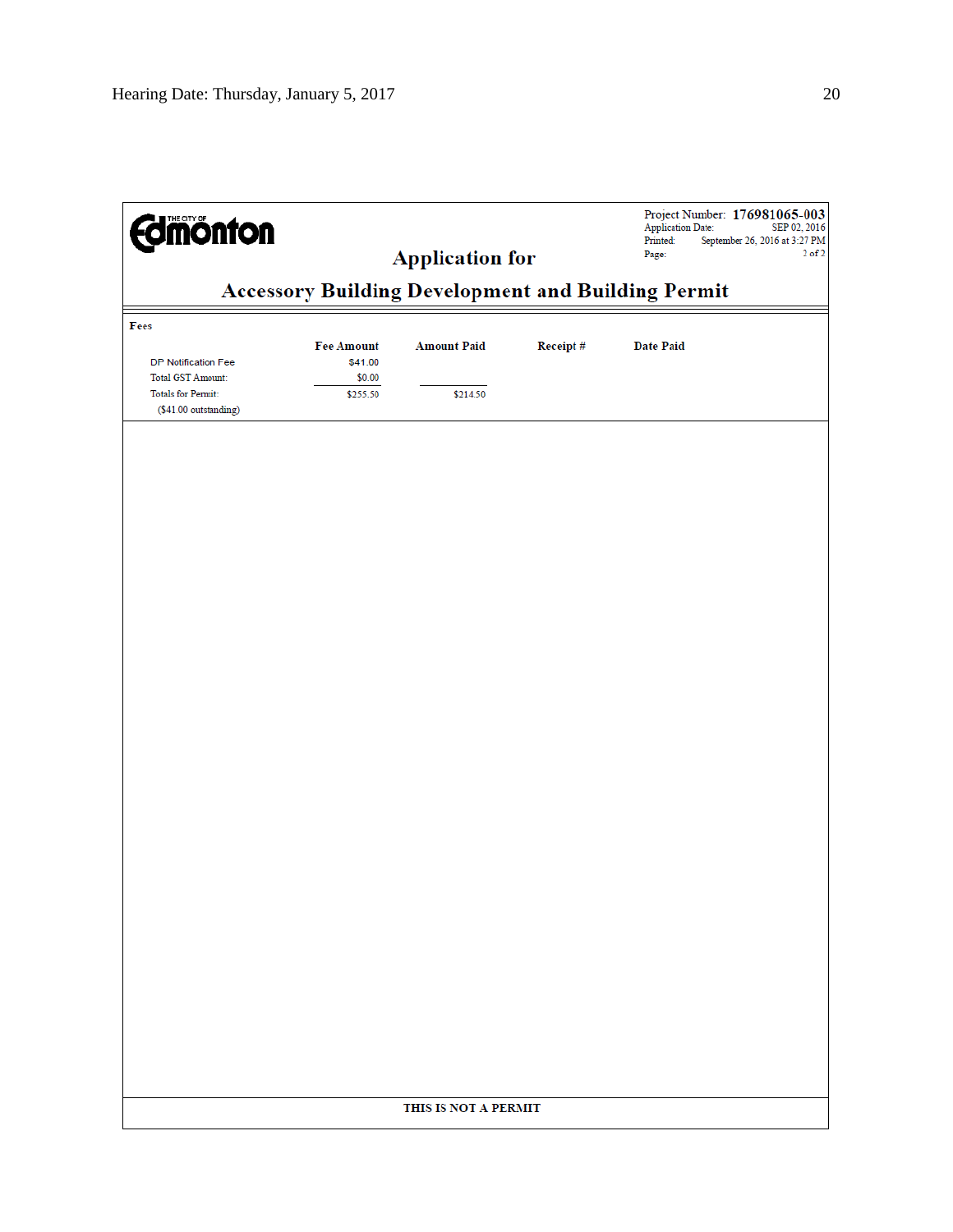| <b>Imónton</b>                                     | <b>Accessory Building Development and Building Permit</b> | <b>Application for</b> |          | <b>Application Date:</b><br>Printed:<br>Page: | Project Number: 176981065-003<br>SEP 02, 2016<br>September 26, 2016 at 3:27 PM<br>$2$ of $2$ |
|----------------------------------------------------|-----------------------------------------------------------|------------------------|----------|-----------------------------------------------|----------------------------------------------------------------------------------------------|
|                                                    |                                                           |                        |          |                                               |                                                                                              |
| Fees                                               |                                                           |                        |          |                                               |                                                                                              |
| DP Notification Fee<br>Total GST Amount:           | <b>Fee Amount</b><br>\$41.00<br>\$0.00                    | <b>Amount Paid</b>     | Receipt# | <b>Date Paid</b>                              |                                                                                              |
| <b>Totals for Permit:</b><br>(\$41.00 outstanding) | \$255.50                                                  | \$214.50               |          |                                               |                                                                                              |
|                                                    |                                                           |                        |          |                                               |                                                                                              |
|                                                    |                                                           |                        |          |                                               |                                                                                              |
|                                                    |                                                           |                        |          |                                               |                                                                                              |
|                                                    |                                                           |                        |          |                                               |                                                                                              |
|                                                    |                                                           |                        |          |                                               |                                                                                              |
|                                                    |                                                           |                        |          |                                               |                                                                                              |
|                                                    |                                                           |                        |          |                                               |                                                                                              |
|                                                    |                                                           |                        |          |                                               |                                                                                              |
|                                                    |                                                           |                        |          |                                               |                                                                                              |
|                                                    |                                                           |                        |          |                                               |                                                                                              |
|                                                    |                                                           |                        |          |                                               |                                                                                              |
|                                                    |                                                           |                        |          |                                               |                                                                                              |
|                                                    |                                                           |                        |          |                                               |                                                                                              |
|                                                    |                                                           |                        |          |                                               |                                                                                              |
|                                                    |                                                           |                        |          |                                               |                                                                                              |
|                                                    |                                                           |                        |          |                                               |                                                                                              |
|                                                    |                                                           |                        |          |                                               |                                                                                              |
|                                                    |                                                           |                        |          |                                               |                                                                                              |
|                                                    |                                                           | THIS IS NOT A PERMIT   |          |                                               |                                                                                              |
|                                                    |                                                           |                        |          |                                               |                                                                                              |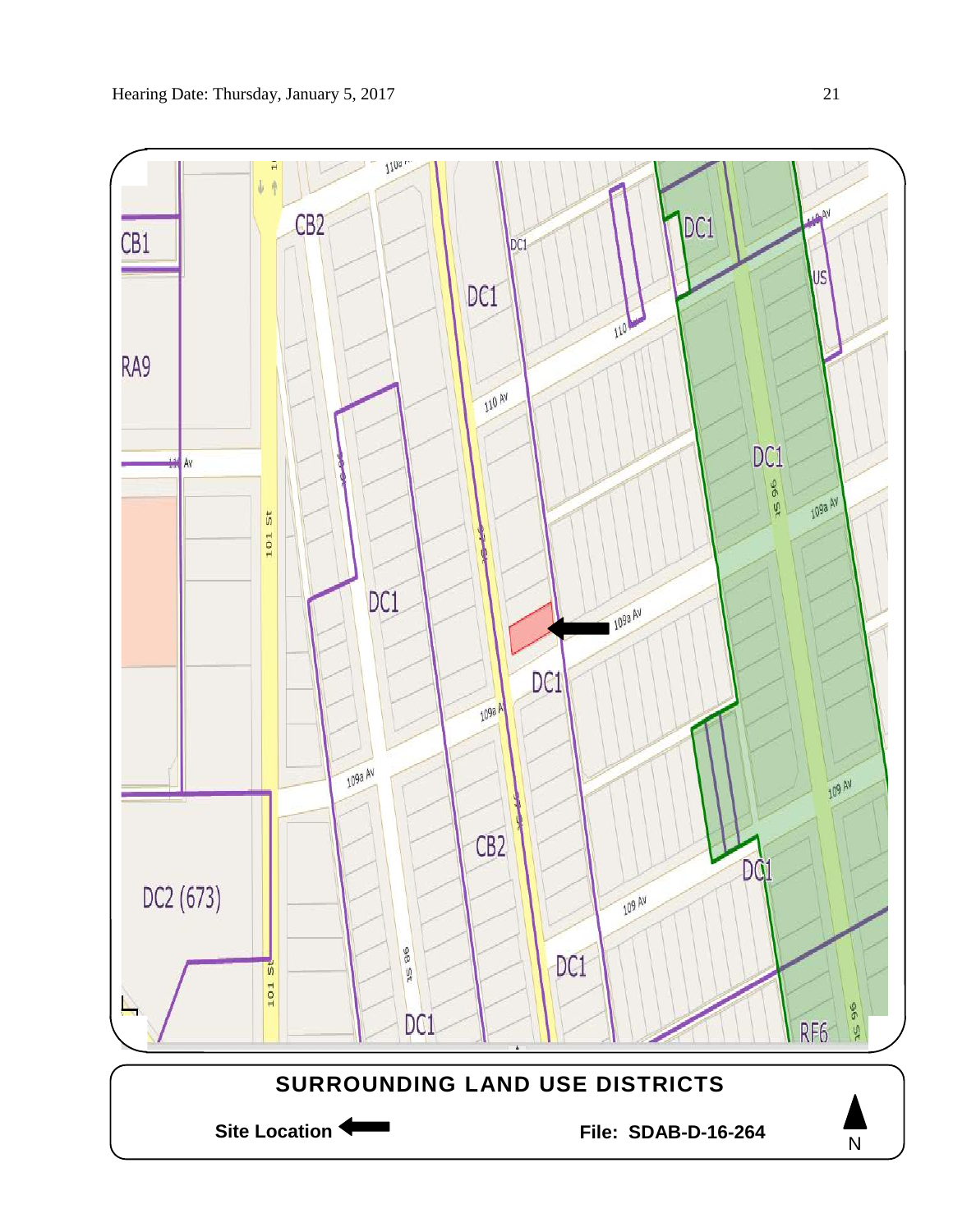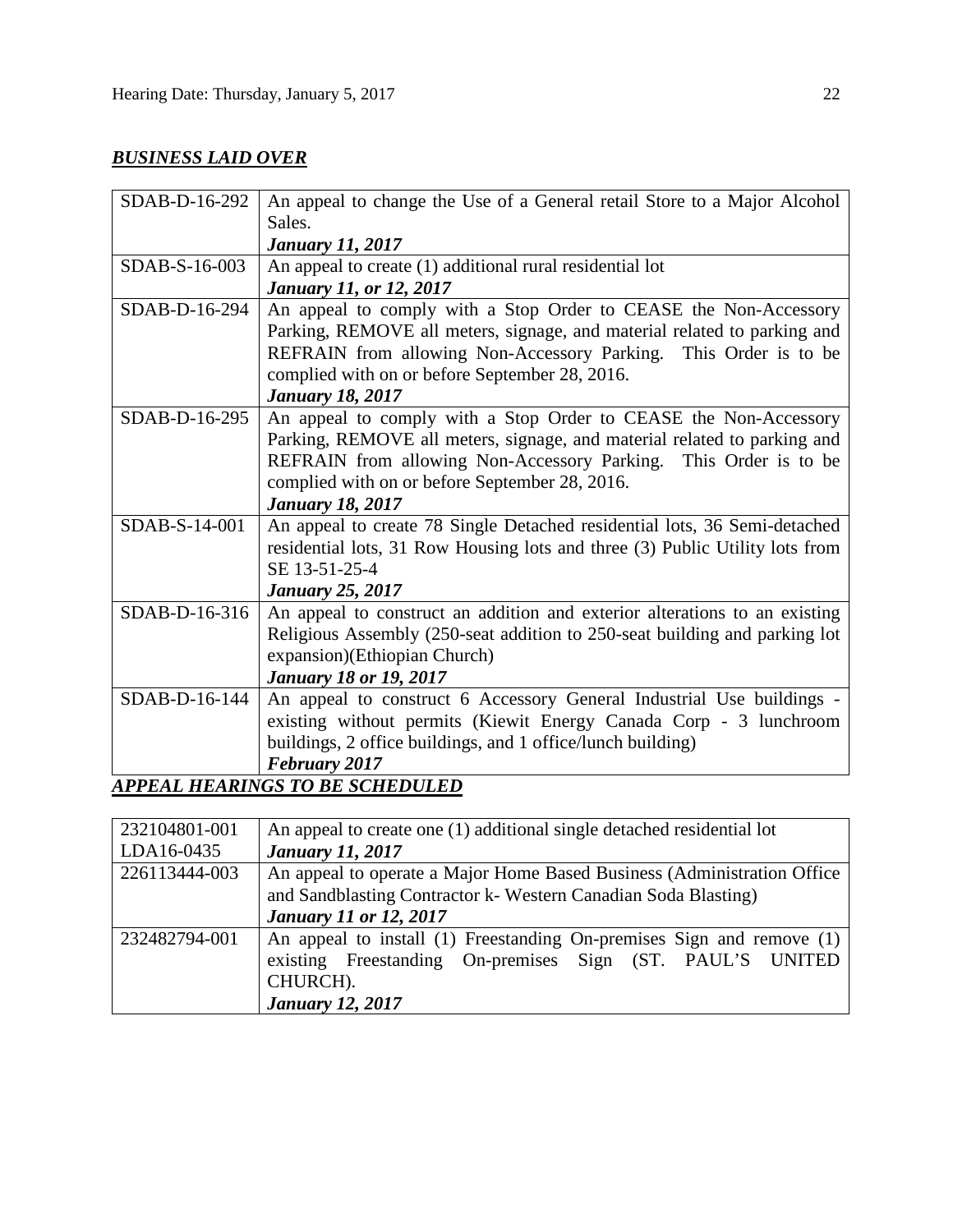# *BUSINESS LAID OVER*

| SDAB-D-16-292   | An appeal to change the Use of a General retail Store to a Major Alcohol     |
|-----------------|------------------------------------------------------------------------------|
|                 | Sales.                                                                       |
|                 | <b>January 11, 2017</b>                                                      |
| SDAB-S-16-003   | An appeal to create (1) additional rural residential lot                     |
|                 | January 11, or 12, 2017                                                      |
| SDAB-D-16-294   | An appeal to comply with a Stop Order to CEASE the Non-Accessory             |
|                 | Parking, REMOVE all meters, signage, and material related to parking and     |
|                 | REFRAIN from allowing Non-Accessory Parking. This Order is to be             |
|                 | complied with on or before September 28, 2016.                               |
|                 | <b>January 18, 2017</b>                                                      |
| SDAB-D-16-295   | An appeal to comply with a Stop Order to CEASE the Non-Accessory             |
|                 | Parking, REMOVE all meters, signage, and material related to parking and     |
|                 | REFRAIN from allowing Non-Accessory Parking. This Order is to be             |
|                 | complied with on or before September 28, 2016.                               |
|                 | <b>January 18, 2017</b>                                                      |
| SDAB-S-14-001   | An appeal to create 78 Single Detached residential lots, 36 Semi-detached    |
|                 | residential lots, 31 Row Housing lots and three (3) Public Utility lots from |
|                 | SE 13-51-25-4                                                                |
|                 | <b>January 25, 2017</b>                                                      |
| SDAB-D-16-316   | An appeal to construct an addition and exterior alterations to an existing   |
|                 | Religious Assembly (250-seat addition to 250-seat building and parking lot   |
|                 | expansion) (Ethiopian Church)                                                |
|                 | <b>January 18 or 19, 2017</b>                                                |
| $SDAB-D-16-144$ | An appeal to construct 6 Accessory General Industrial Use buildings -        |
|                 | existing without permits (Kiewit Energy Canada Corp - 3 lunchroom            |
|                 | buildings, 2 office buildings, and 1 office/lunch building)                  |
|                 | February 2017                                                                |
|                 | APPEAL HEARINGS TO BE SCHEDULED                                              |

| 232104801-001 | An appeal to create one (1) additional single detached residential lot  |
|---------------|-------------------------------------------------------------------------|
| LDA16-0435    | <b>January 11, 2017</b>                                                 |
| 226113444-003 | An appeal to operate a Major Home Based Business (Administration Office |
|               | and Sandblasting Contractor k- Western Canadian Soda Blasting)          |
|               | <b>January 11 or 12, 2017</b>                                           |
| 232482794-001 | An appeal to install (1) Freestanding On-premises Sign and remove (1)   |
|               | existing Freestanding On-premises Sign (ST. PAUL'S UNITED               |
|               | CHURCH).                                                                |
|               | <b>January 12, 2017</b>                                                 |